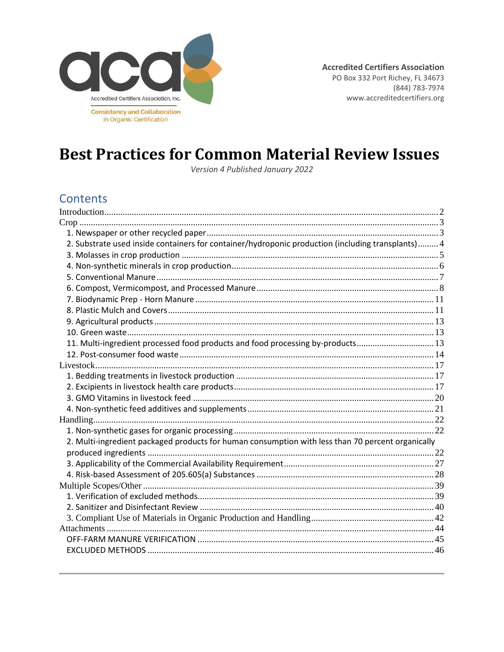

# **Best Practices for Common Material Review Issues**

Version 4 Published January 2022

### **Contents**

| 2. Substrate used inside containers for container/hydroponic production (including transplants) 4 |  |
|---------------------------------------------------------------------------------------------------|--|
|                                                                                                   |  |
|                                                                                                   |  |
|                                                                                                   |  |
|                                                                                                   |  |
|                                                                                                   |  |
|                                                                                                   |  |
|                                                                                                   |  |
|                                                                                                   |  |
| 11. Multi-ingredient processed food products and food processing by-products 13                   |  |
|                                                                                                   |  |
|                                                                                                   |  |
|                                                                                                   |  |
|                                                                                                   |  |
|                                                                                                   |  |
|                                                                                                   |  |
|                                                                                                   |  |
|                                                                                                   |  |
| 2. Multi-ingredient packaged products for human consumption with less than 70 percent organically |  |
|                                                                                                   |  |
|                                                                                                   |  |
|                                                                                                   |  |
|                                                                                                   |  |
|                                                                                                   |  |
|                                                                                                   |  |
|                                                                                                   |  |
|                                                                                                   |  |
|                                                                                                   |  |
|                                                                                                   |  |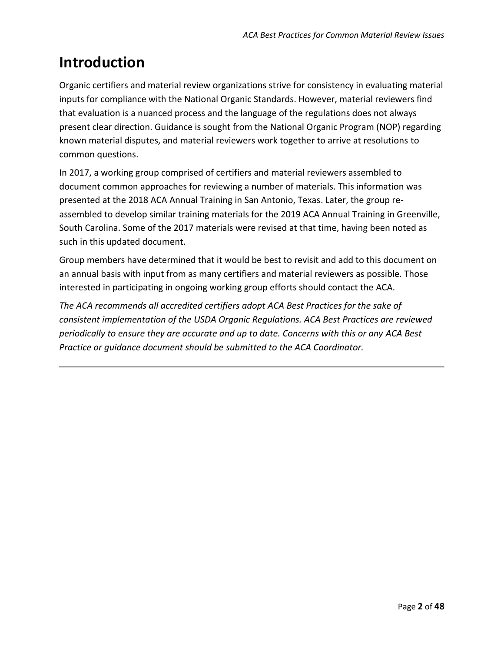# <span id="page-1-0"></span>**Introduction**

Organic certifiers and material review organizations strive for consistency in evaluating material inputs for compliance with the National Organic Standards. However, material reviewers find that evaluation is a nuanced process and the language of the regulations does not always present clear direction. Guidance is sought from the National Organic Program (NOP) regarding known material disputes, and material reviewers work together to arrive at resolutions to common questions.

In 2017, a working group comprised of certifiers and material reviewers assembled to document common approaches for reviewing a number of materials. This information was presented at the 2018 ACA Annual Training in San Antonio, Texas. Later, the group reassembled to develop similar training materials for the 2019 ACA Annual Training in Greenville, South Carolina. Some of the 2017 materials were revised at that time, having been noted as such in this updated document.

Group members have determined that it would be best to revisit and add to this document on an annual basis with input from as many certifiers and material reviewers as possible. Those interested in participating in ongoing working group efforts should contact the ACA.

*The ACA recommends all accredited certifiers adopt ACA Best Practices for the sake of consistent implementation of the USDA Organic Regulations. ACA Best Practices are reviewed periodically to ensure they are accurate and up to date. Concerns with this or any ACA Best Practice or guidance document should be submitted to the ACA Coordinator.*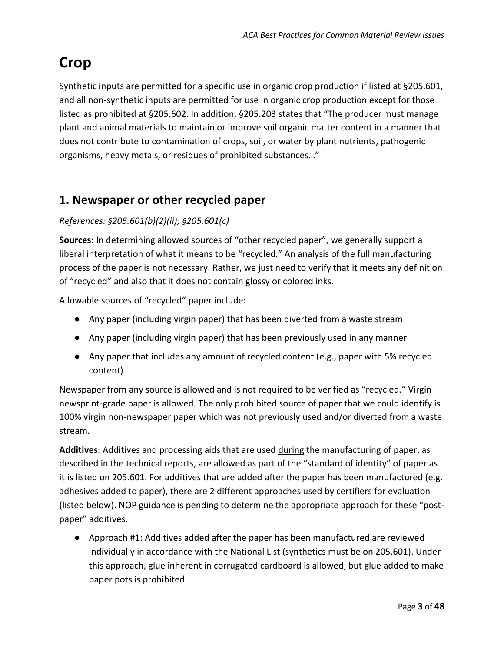# <span id="page-2-0"></span>**Crop**

Synthetic inputs are permitted for a specific use in organic crop production if listed at §205.601, and all non-synthetic inputs are permitted for use in organic crop production except for those listed as prohibited at §205.602. In addition, §205.203 states that "The producer must manage plant and animal materials to maintain or improve soil organic matter content in a manner that does not contribute to contamination of crops, soil, or water by plant nutrients, pathogenic organisms, heavy metals, or residues of prohibited substances…"

## <span id="page-2-1"></span>**1. Newspaper or other recycled paper**

#### *References: §205.601(b)(2)(ii); §205.601(c)*

**Sources:** In determining allowed sources of "other recycled paper", we generally support a liberal interpretation of what it means to be "recycled." An analysis of the full manufacturing process of the paper is not necessary. Rather, we just need to verify that it meets any definition of "recycled" and also that it does not contain glossy or colored inks.

Allowable sources of "recycled" paper include:

- Any paper (including virgin paper) that has been diverted from a waste stream
- Any paper (including virgin paper) that has been previously used in any manner
- Any paper that includes any amount of recycled content (e.g., paper with 5% recycled content)

Newspaper from any source is allowed and is not required to be verified as "recycled." Virgin newsprint-grade paper is allowed. The only prohibited source of paper that we could identify is 100% virgin non-newspaper paper which was not previously used and/or diverted from a waste stream.

**Additives:** Additives and processing aids that are used during the manufacturing of paper, as described in the technical reports, are allowed as part of the "standard of identity" of paper as it is listed on 205.601. For additives that are added after the paper has been manufactured (e.g. adhesives added to paper), there are 2 different approaches used by certifiers for evaluation (listed below). NOP guidance is pending to determine the appropriate approach for these "postpaper" additives.

● Approach #1: Additives added after the paper has been manufactured are reviewed individually in accordance with the National List (synthetics must be on 205.601). Under this approach, glue inherent in corrugated cardboard is allowed, but glue added to make paper pots is prohibited.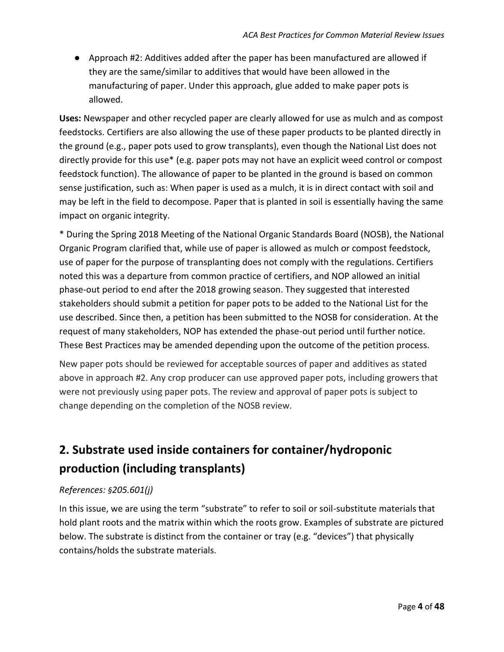● Approach #2: Additives added after the paper has been manufactured are allowed if they are the same/similar to additives that would have been allowed in the manufacturing of paper. Under this approach, glue added to make paper pots is allowed.

**Uses:** Newspaper and other recycled paper are clearly allowed for use as mulch and as compost feedstocks. Certifiers are also allowing the use of these paper products to be planted directly in the ground (e.g., paper pots used to grow transplants), even though the National List does not directly provide for this use\* (e.g. paper pots may not have an explicit weed control or compost feedstock function). The allowance of paper to be planted in the ground is based on common sense justification, such as: When paper is used as a mulch, it is in direct contact with soil and may be left in the field to decompose. Paper that is planted in soil is essentially having the same impact on organic integrity.

\* During the Spring 2018 Meeting of the National Organic Standards Board (NOSB), the National Organic Program clarified that, while use of paper is allowed as mulch or compost feedstock, use of paper for the purpose of transplanting does not comply with the regulations. Certifiers noted this was a departure from common practice of certifiers, and NOP allowed an initial phase-out period to end after the 2018 growing season. They suggested that interested stakeholders should submit a petition for paper pots to be added to the National List for the use described. Since then, a petition has been submitted to the NOSB for consideration. At the request of many stakeholders, NOP has extended the phase-out period until further notice. These Best Practices may be amended depending upon the outcome of the petition process.

New paper pots should be reviewed for acceptable sources of paper and additives as stated above in approach #2. Any crop producer can use approved paper pots, including growers that were not previously using paper pots. The review and approval of paper pots is subject to change depending on the completion of the NOSB review.

# <span id="page-3-0"></span>**2. Substrate used inside containers for container/hydroponic production (including transplants)**

#### *References: §205.601(j)*

In this issue, we are using the term "substrate" to refer to soil or soil-substitute materials that hold plant roots and the matrix within which the roots grow. Examples of substrate are pictured below. The substrate is distinct from the container or tray (e.g. "devices") that physically contains/holds the substrate materials.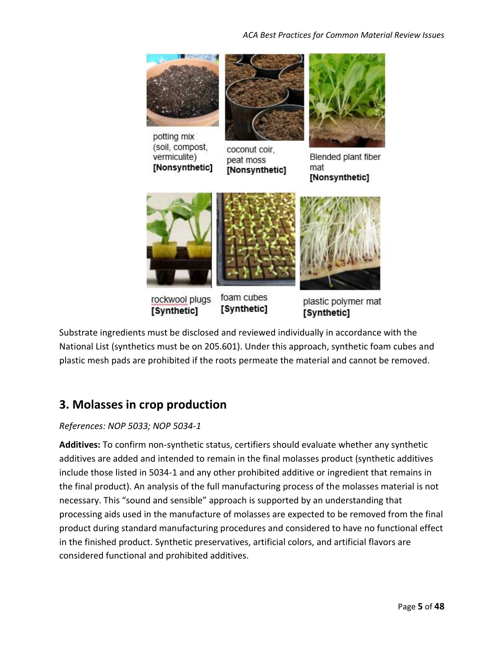

rockwool plugs [Synthetic]

foam cubes [Synthetic]

plastic polymer mat [Synthetic]

Substrate ingredients must be disclosed and reviewed individually in accordance with the National List (synthetics must be on 205.601). Under this approach, synthetic foam cubes and plastic mesh pads are prohibited if the roots permeate the material and cannot be removed.

# <span id="page-4-0"></span>**3. Molasses in crop production**

#### *References: NOP 5033; NOP 5034-1*

**Additives:** To confirm non-synthetic status, certifiers should evaluate whether any synthetic additives are added and intended to remain in the final molasses product (synthetic additives include those listed in 5034-1 and any other prohibited additive or ingredient that remains in the final product). An analysis of the full manufacturing process of the molasses material is not necessary. This "sound and sensible" approach is supported by an understanding that processing aids used in the manufacture of molasses are expected to be removed from the final product during standard manufacturing procedures and considered to have no functional effect in the finished product. Synthetic preservatives, artificial colors, and artificial flavors are considered functional and prohibited additives.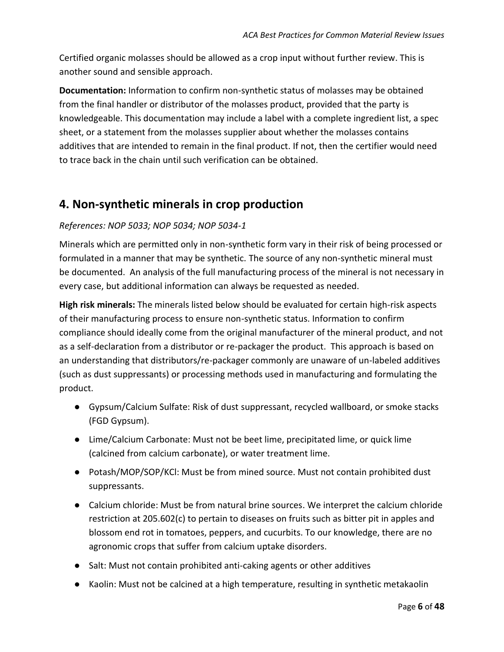Certified organic molasses should be allowed as a crop input without further review. This is another sound and sensible approach.

**Documentation:** Information to confirm non-synthetic status of molasses may be obtained from the final handler or distributor of the molasses product, provided that the party is knowledgeable. This documentation may include a label with a complete ingredient list, a spec sheet, or a statement from the molasses supplier about whether the molasses contains additives that are intended to remain in the final product. If not, then the certifier would need to trace back in the chain until such verification can be obtained.

## <span id="page-5-0"></span>**4. Non-synthetic minerals in crop production**

#### *References: NOP 5033; NOP 5034; NOP 5034-1*

Minerals which are permitted only in non-synthetic form vary in their risk of being processed or formulated in a manner that may be synthetic. The source of any non-synthetic mineral must be documented. An analysis of the full manufacturing process of the mineral is not necessary in every case, but additional information can always be requested as needed.

**High risk minerals:** The minerals listed below should be evaluated for certain high-risk aspects of their manufacturing process to ensure non-synthetic status. Information to confirm compliance should ideally come from the original manufacturer of the mineral product, and not as a self-declaration from a distributor or re-packager the product. This approach is based on an understanding that distributors/re-packager commonly are unaware of un-labeled additives (such as dust suppressants) or processing methods used in manufacturing and formulating the product.

- Gypsum/Calcium Sulfate: Risk of dust suppressant, recycled wallboard, or smoke stacks (FGD Gypsum).
- Lime/Calcium Carbonate: Must not be beet lime, precipitated lime, or quick lime (calcined from calcium carbonate), or water treatment lime.
- Potash/MOP/SOP/KCl: Must be from mined source. Must not contain prohibited dust suppressants.
- Calcium chloride: Must be from natural brine sources. We interpret the calcium chloride restriction at 205.602(c) to pertain to diseases on fruits such as bitter pit in apples and blossom end rot in tomatoes, peppers, and cucurbits. To our knowledge, there are no agronomic crops that suffer from calcium uptake disorders.
- Salt: Must not contain prohibited anti-caking agents or other additives
- Kaolin: Must not be calcined at a high temperature, resulting in synthetic metakaolin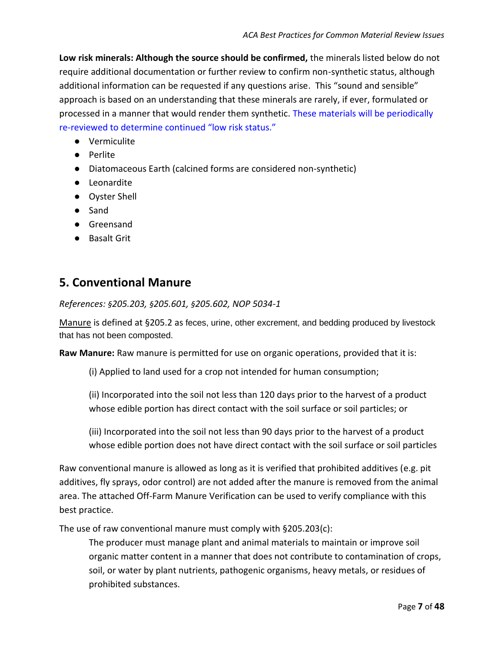**Low risk minerals: Although the source should be confirmed,** the minerals listed below do not require additional documentation or further review to confirm non-synthetic status, although additional information can be requested if any questions arise. This "sound and sensible" approach is based on an understanding that these minerals are rarely, if ever, formulated or processed in a manner that would render them synthetic. These materials will be periodically re-reviewed to determine continued "low risk status."

- Vermiculite
- Perlite
- Diatomaceous Earth (calcined forms are considered non-synthetic)
- Leonardite
- Oyster Shell
- Sand
- Greensand
- Basalt Grit

### <span id="page-6-0"></span>**5. Conventional Manure**

*References: §205.203, §205.601, §205.602, NOP 5034-1*

Manure is defined at §205.2 as feces, urine, other excrement, and bedding produced by livestock that has not been composted.

**Raw Manure:** Raw manure is permitted for use on organic operations, provided that it is:

(i) Applied to land used for a crop not intended for human consumption;

(ii) Incorporated into the soil not less than 120 days prior to the harvest of a product whose edible portion has direct contact with the soil surface or soil particles; or

(iii) Incorporated into the soil not less than 90 days prior to the harvest of a product whose edible portion does not have direct contact with the soil surface or soil particles

Raw conventional manure is allowed as long as it is verified that prohibited additives (e.g. pit additives, fly sprays, odor control) are not added after the manure is removed from the animal area. The attached Off‐Farm Manure Verification can be used to verify compliance with this best practice.

The use of raw conventional manure must comply with §205.203(c):

The producer must manage plant and animal materials to maintain or improve soil organic matter content in a manner that does not contribute to contamination of crops, soil, or water by plant nutrients, pathogenic organisms, heavy metals, or residues of prohibited substances.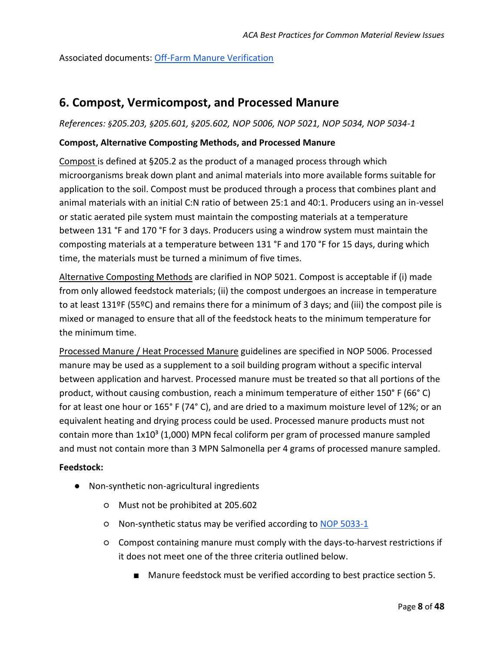Associated documents: [Off-Farm Manure Verification](#page-44-0)

### <span id="page-7-0"></span>**6. Compost, Vermicompost, and Processed Manure**

*References: §205.203, §205.601, §205.602, NOP 5006, NOP 5021, NOP 5034, NOP 5034-1*

#### **Compost, Alternative Composting Methods, and Processed Manure**

Compost is defined at §205.2 as the product of a managed process through which microorganisms break down plant and animal materials into more available forms suitable for application to the soil. Compost must be produced through a process that combines plant and animal materials with an initial C:N ratio of between 25:1 and 40:1. Producers using an in-vessel or static aerated pile system must maintain the composting materials at a temperature between 131 °F and 170 °F for 3 days. Producers using a windrow system must maintain the composting materials at a temperature between 131 °F and 170 °F for 15 days, during which time, the materials must be turned a minimum of five times.

Alternative Composting Methods are clarified in NOP 5021. Compost is acceptable if (i) made from only allowed feedstock materials; (ii) the compost undergoes an increase in temperature to at least 131ºF (55ºC) and remains there for a minimum of 3 days; and (iii) the compost pile is mixed or managed to ensure that all of the feedstock heats to the minimum temperature for the minimum time.

Processed Manure / Heat Processed Manure guidelines are specified in NOP 5006. Processed manure may be used as a supplement to a soil building program without a specific interval between application and harvest. Processed manure must be treated so that all portions of the product, without causing combustion, reach a minimum temperature of either 150° F (66° C) for at least one hour or 165° F (74° C), and are dried to a maximum moisture level of 12%; or an equivalent heating and drying process could be used. Processed manure products must not contain more than  $1x10<sup>3</sup>$  (1,000) MPN fecal coliform per gram of processed manure sampled and must not contain more than 3 MPN Salmonella per 4 grams of processed manure sampled.

#### **Feedstock:**

- Non-synthetic non-agricultural ingredients
	- Must not be prohibited at 205.602
	- Non-synthetic status may be verified according to [NOP 5033-1](https://www.ams.usda.gov/sites/default/files/media/NOP-Synthetic-NonSynthetic-DecisionTree.pdf)
	- Compost containing manure must comply with the days-to-harvest restrictions if it does not meet one of the three criteria outlined below.
		- Manure feedstock must be verified according to best practice section 5.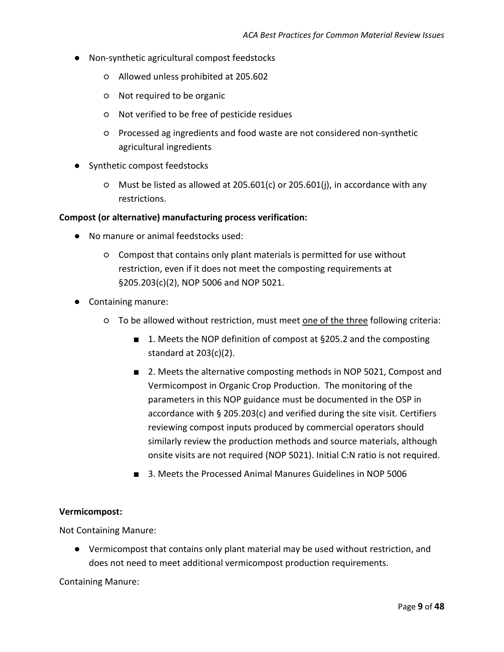- Non-synthetic agricultural compost feedstocks
	- Allowed unless prohibited at 205.602
	- Not required to be organic
	- Not verified to be free of pesticide residues
	- Processed ag ingredients and food waste are not considered non-synthetic agricultural ingredients
- Synthetic compost feedstocks
	- $\circ$  Must be listed as allowed at 205.601(c) or 205.601(j), in accordance with any restrictions.

#### **Compost (or alternative) manufacturing process verification:**

- No manure or animal feedstocks used:
	- Compost that contains only plant materials is permitted for use without restriction, even if it does not meet the composting requirements at §205.203(c)(2), NOP 5006 and NOP 5021.
- Containing manure:
	- To be allowed without restriction, must meet <u>one of the three</u> following criteria:
		- 1. Meets the NOP definition of compost at §205.2 and the composting standard at 203(c)(2).
		- 2. Meets the alternative composting methods in NOP 5021, Compost and Vermicompost in Organic Crop Production. The monitoring of the parameters in this NOP guidance must be documented in the OSP in accordance with § 205.203(c) and verified during the site visit. Certifiers reviewing compost inputs produced by commercial operators should similarly review the production methods and source materials, although onsite visits are not required (NOP 5021). Initial C:N ratio is not required.
		- 3. Meets the Processed Animal Manures Guidelines in NOP 5006

#### **Vermicompost:**

Not Containing Manure:

● Vermicompost that contains only plant material may be used without restriction, and does not need to meet additional vermicompost production requirements.

Containing Manure: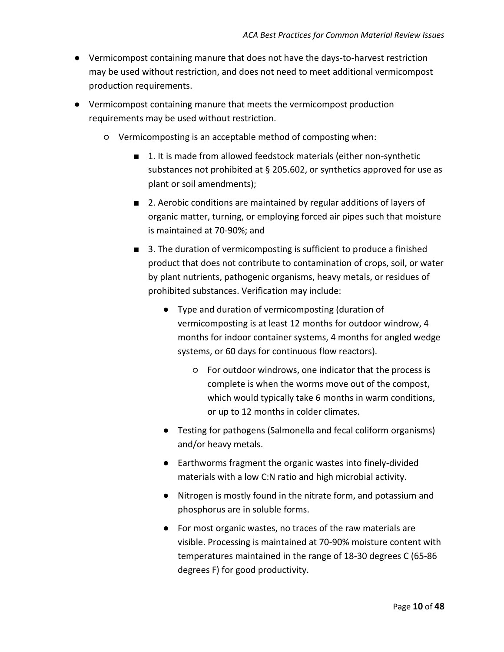- Vermicompost containing manure that does not have the days-to-harvest restriction may be used without restriction, and does not need to meet additional vermicompost production requirements.
- Vermicompost containing manure that meets the vermicompost production requirements may be used without restriction.
	- Vermicomposting is an acceptable method of composting when:
		- 1. It is made from allowed feedstock materials (either non-synthetic substances not prohibited at § 205.602, or synthetics approved for use as plant or soil amendments);
		- 2. Aerobic conditions are maintained by regular additions of layers of organic matter, turning, or employing forced air pipes such that moisture is maintained at 70-90%; and
		- 3. The duration of vermicomposting is sufficient to produce a finished product that does not contribute to contamination of crops, soil, or water by plant nutrients, pathogenic organisms, heavy metals, or residues of prohibited substances. Verification may include:
			- Type and duration of vermicomposting (duration of vermicomposting is at least 12 months for outdoor windrow, 4 months for indoor container systems, 4 months for angled wedge systems, or 60 days for continuous flow reactors).
				- For outdoor windrows, one indicator that the process is complete is when the worms move out of the compost, which would typically take 6 months in warm conditions, or up to 12 months in colder climates.
			- Testing for pathogens (Salmonella and fecal coliform organisms) and/or heavy metals.
			- Earthworms fragment the organic wastes into finely-divided materials with a low C:N ratio and high microbial activity.
			- Nitrogen is mostly found in the nitrate form, and potassium and phosphorus are in soluble forms.
			- For most organic wastes, no traces of the raw materials are visible. Processing is maintained at 70-90% moisture content with temperatures maintained in the range of 18-30 degrees C (65-86 degrees F) for good productivity.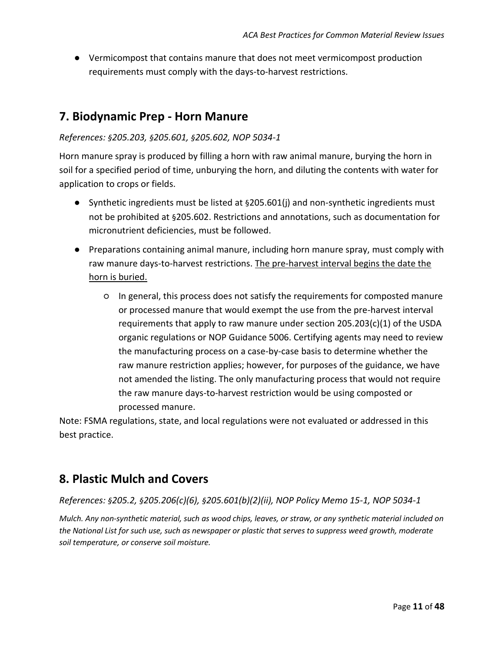● Vermicompost that contains manure that does not meet vermicompost production requirements must comply with the days-to-harvest restrictions.

## <span id="page-10-0"></span>**7. Biodynamic Prep - Horn Manure**

#### *References: §205.203, §205.601, §205.602, NOP 5034-1*

Horn manure spray is produced by filling a horn with raw animal manure, burying the horn in soil for a specified period of time, unburying the horn, and diluting the contents with water for application to crops or fields.

- Synthetic ingredients must be listed at §205.601(j) and non-synthetic ingredients must not be prohibited at §205.602. Restrictions and annotations, such as documentation for micronutrient deficiencies, must be followed.
- Preparations containing animal manure, including horn manure spray, must comply with raw manure days-to-harvest restrictions. The pre-harvest interval begins the date the horn is buried.
	- In general, this process does not satisfy the requirements for composted manure or processed manure that would exempt the use from the pre-harvest interval requirements that apply to raw manure under section  $205.203(c)(1)$  of the USDA organic regulations or NOP Guidance 5006. Certifying agents may need to review the manufacturing process on a case-by-case basis to determine whether the raw manure restriction applies; however, for purposes of the guidance, we have not amended the listing. The only manufacturing process that would not require the raw manure days-to-harvest restriction would be using composted or processed manure.

Note: FSMA regulations, state, and local regulations were not evaluated or addressed in this best practice.

## <span id="page-10-1"></span>**8. Plastic Mulch and Covers**

#### *References: §205.2, §205.206(c)(6), §205.601(b)(2)(ii), NOP Policy Memo 15-1, NOP 5034-1*

*Mulch. Any non-synthetic material, such as wood chips, leaves, or straw, or any synthetic material included on the National List for such use, such as newspaper or plastic that serves to suppress weed growth, moderate soil temperature, or conserve soil moisture.*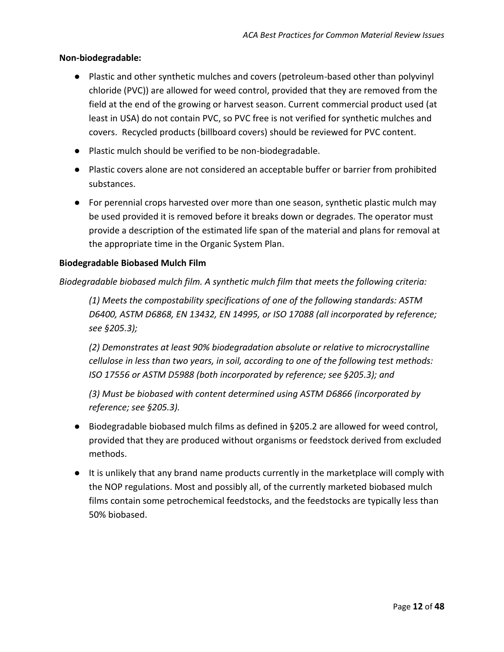#### **Non-biodegradable:**

- Plastic and other synthetic mulches and covers (petroleum-based other than polyvinyl chloride (PVC)) are allowed for weed control, provided that they are removed from the field at the end of the growing or harvest season. Current commercial product used (at least in USA) do not contain PVC, so PVC free is not verified for synthetic mulches and covers. Recycled products (billboard covers) should be reviewed for PVC content.
- Plastic mulch should be verified to be non-biodegradable.
- Plastic covers alone are not considered an acceptable buffer or barrier from prohibited substances.
- For perennial crops harvested over more than one season, synthetic plastic mulch may be used provided it is removed before it breaks down or degrades. The operator must provide a description of the estimated life span of the material and plans for removal at the appropriate time in the Organic System Plan.

#### **Biodegradable Biobased Mulch Film**

*Biodegradable biobased mulch film. A synthetic mulch film that meets the following criteria:*

*(1) Meets the compostability specifications of one of the following standards: ASTM D6400, ASTM D6868, EN 13432, EN 14995, or ISO 17088 (all incorporated by reference; see §205.3);*

*(2) Demonstrates at least 90% biodegradation absolute or relative to microcrystalline cellulose in less than two years, in soil, according to one of the following test methods: ISO 17556 or ASTM D5988 (both incorporated by reference; see §205.3); and*

*(3) Must be biobased with content determined using ASTM D6866 (incorporated by reference; see §205.3).*

- Biodegradable biobased mulch films as defined in §205.2 are allowed for weed control, provided that they are produced without organisms or feedstock derived from excluded methods.
- It is unlikely that any brand name products currently in the marketplace will comply with the NOP regulations. Most and possibly all, of the currently marketed biobased mulch films contain some petrochemical feedstocks, and the feedstocks are typically less than 50% biobased.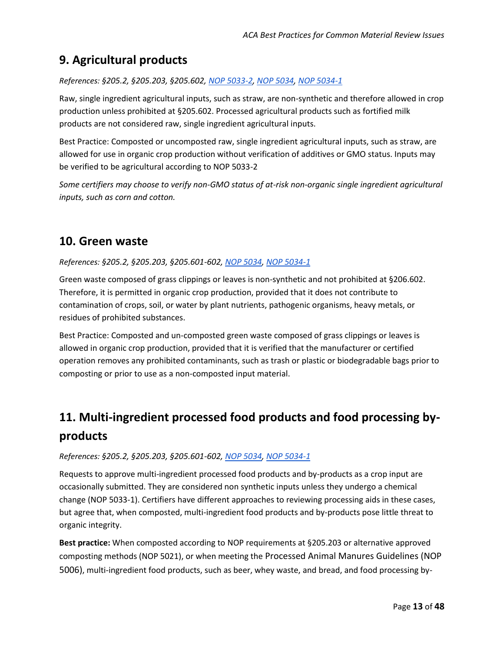# <span id="page-12-0"></span>**9. Agricultural products**

*References: §205.2, §205.203, §205.602, [NOP 5033-2,](https://www.ams.usda.gov/sites/default/files/media/NOP-Ag-NonAg-DecisionTree.pdf) [NOP 5034,](https://www.ams.usda.gov/sites/default/files/media/NOP-5034.pdf) [NOP 5034-1](https://www.ams.usda.gov/sites/default/files/media/NOP-5034-1.pdf)*

Raw, single ingredient agricultural inputs, such as straw, are non-synthetic and therefore allowed in crop production unless prohibited at §205.602. Processed agricultural products such as fortified milk products are not considered raw, single ingredient agricultural inputs.

Best Practice: Composted or uncomposted raw, single ingredient agricultural inputs, such as straw, are allowed for use in organic crop production without verification of additives or GMO status. Inputs may be verified to be agricultural according to NOP 5033-2

*Some certifiers may choose to verify non-GMO status of at-risk non-organic single ingredient agricultural inputs, such as corn and cotton.*

## <span id="page-12-1"></span>**10. Green waste**

#### *References: §205.2, §205.203, §205.601-602[, NOP 5034,](https://www.ams.usda.gov/sites/default/files/media/NOP-5034.pdf) [NOP 5034-1](https://www.ams.usda.gov/sites/default/files/media/NOP-5034-1.pdf)*

Green waste composed of grass clippings or leaves is non-synthetic and not prohibited at §206.602. Therefore, it is permitted in organic crop production, provided that it does not contribute to contamination of crops, soil, or water by plant nutrients, pathogenic organisms, heavy metals, or residues of prohibited substances.

Best Practice: Composted and un-composted green waste composed of grass clippings or leaves is allowed in organic crop production, provided that it is verified that the manufacturer or certified operation removes any prohibited contaminants, such as trash or plastic or biodegradable bags prior to composting or prior to use as a non-composted input material.

# <span id="page-12-2"></span>**11. Multi-ingredient processed food products and food processing byproducts**

*References: §205.2, §205.203, §205.601-602[, NOP 5034,](https://www.ams.usda.gov/sites/default/files/media/NOP-5034.pdf) [NOP 5034-1](https://www.ams.usda.gov/sites/default/files/media/NOP-5034-1.pdf)*

Requests to approve multi-ingredient processed food products and by-products as a crop input are occasionally submitted. They are considered non synthetic inputs unless they undergo a chemical change (NOP 5033-1). Certifiers have different approaches to reviewing processing aids in these cases, but agree that, when composted, multi-ingredient food products and by-products pose little threat to organic integrity.

**Best practice:** When composted according to NOP requirements at §205.203 or alternative approved composting methods (NOP 5021), or when meeting the Processed Animal Manures Guidelines (NOP 5006), multi-ingredient food products, such as beer, whey waste, and bread, and food processing by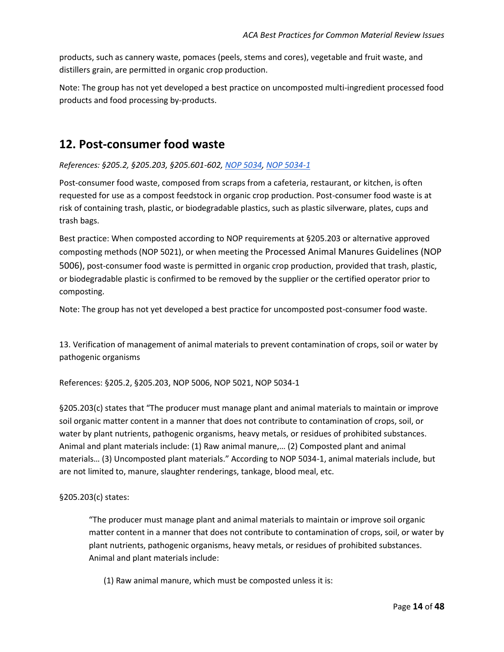products, such as cannery waste, pomaces (peels, stems and cores), vegetable and fruit waste, and distillers grain, are permitted in organic crop production.

Note: The group has not yet developed a best practice on uncomposted multi-ingredient processed food products and food processing by-products.

### <span id="page-13-0"></span>**12. Post-consumer food waste**

#### *References: §205.2, §205.203, §205.601-602[, NOP 5034,](https://www.ams.usda.gov/sites/default/files/media/NOP-5034.pdf) [NOP 5034-1](https://www.ams.usda.gov/sites/default/files/media/NOP-5034-1.pdf)*

Post-consumer food waste, composed from scraps from a cafeteria, restaurant, or kitchen, is often requested for use as a compost feedstock in organic crop production. Post-consumer food waste is at risk of containing trash, plastic, or biodegradable plastics, such as plastic silverware, plates, cups and trash bags.

Best practice: When composted according to NOP requirements at §205.203 or alternative approved composting methods (NOP 5021), or when meeting the Processed Animal Manures Guidelines (NOP 5006), post-consumer food waste is permitted in organic crop production, provided that trash, plastic, or biodegradable plastic is confirmed to be removed by the supplier or the certified operator prior to composting.

Note: The group has not yet developed a best practice for uncomposted post-consumer food waste.

13. Verification of management of animal materials to prevent contamination of crops, soil or water by pathogenic organisms

References: §205.2, §205.203, [NOP 5006,](https://www.ams.usda.gov/sites/default/files/media/5006.pdf) [NOP 5021,](https://www.ams.usda.gov/sites/default/files/media/5021.pdf) [NOP 5034-1](https://www.ams.usda.gov/sites/default/files/media/NOP-5034-1.pdf)

§205.203(c) states that "The producer must manage plant and animal materials to maintain or improve soil organic matter content in a manner that does not contribute to contamination of crops, soil, or water by plant nutrients, pathogenic organisms, heavy metals, or residues of prohibited substances. Animal and plant materials include: (1) Raw animal manure,… (2) Composted plant and animal materials… (3) Uncomposted plant materials." According to NOP 5034-1, animal materials include, but are not limited to, manure, slaughter renderings, tankage, blood meal, etc.

#### §205.203(c) states:

"The producer must manage plant and animal materials to maintain or improve soil organic matter content in a manner that does not contribute to contamination of crops, soil, or water by plant nutrients, pathogenic organisms, heavy metals, or residues of prohibited substances. Animal and plant materials include:

(1) Raw animal manure, which must be composted unless it is: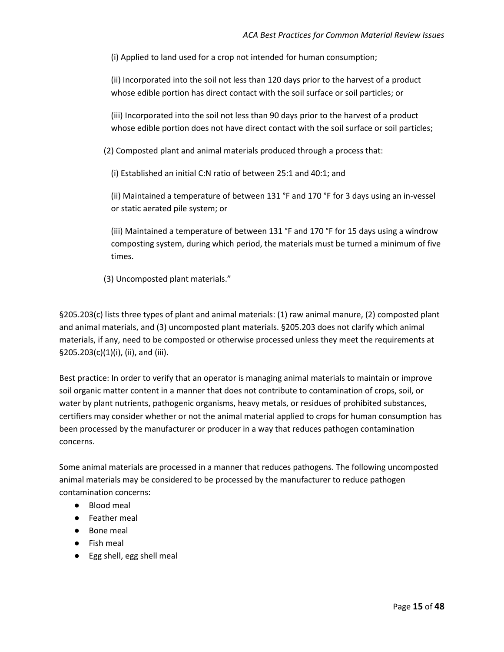(i) Applied to land used for a crop not intended for human consumption;

(ii) Incorporated into the soil not less than 120 days prior to the harvest of a product whose edible portion has direct contact with the soil surface or soil particles; or

(iii) Incorporated into the soil not less than 90 days prior to the harvest of a product whose edible portion does not have direct contact with the soil surface or soil particles;

(2) Composted plant and animal materials produced through a process that:

(i) Established an initial C:N ratio of between 25:1 and 40:1; and

(ii) Maintained a temperature of between 131 °F and 170 °F for 3 days using an in-vessel or static aerated pile system; or

(iii) Maintained a temperature of between 131 °F and 170 °F for 15 days using a windrow composting system, during which period, the materials must be turned a minimum of five times.

(3) Uncomposted plant materials."

§205.203(c) lists three types of plant and animal materials: (1) raw animal manure, (2) composted plant and animal materials, and (3) uncomposted plant materials. §205.203 does not clarify which animal materials, if any, need to be composted or otherwise processed unless they meet the requirements at §205.203(c)(1)(i), (ii), and (iii).

Best practice: In order to verify that an operator is managing animal materials to maintain or improve soil organic matter content in a manner that does not contribute to contamination of crops, soil, or water by plant nutrients, pathogenic organisms, heavy metals, or residues of prohibited substances, certifiers may consider whether or not the animal material applied to crops for human consumption has been processed by the manufacturer or producer in a way that reduces pathogen contamination concerns.

Some animal materials are processed in a manner that reduces pathogens. The following uncomposted animal materials may be considered to be processed by the manufacturer to reduce pathogen contamination concerns:

- Blood meal
- Feather meal
- Bone meal
- Fish meal
- Egg shell, egg shell meal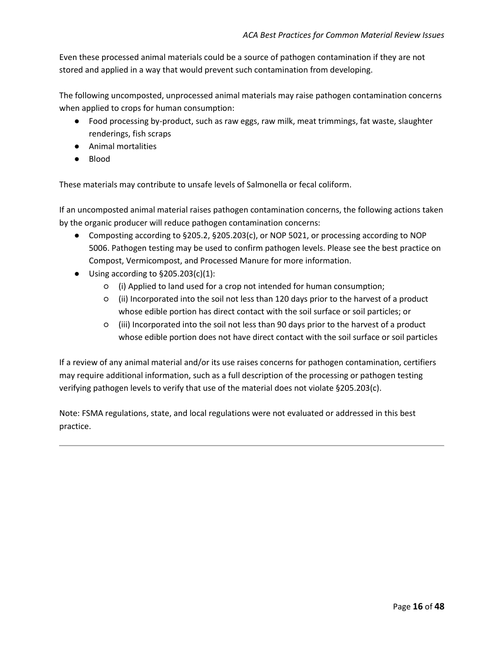Even these processed animal materials could be a source of pathogen contamination if they are not stored and applied in a way that would prevent such contamination from developing.

The following uncomposted, unprocessed animal materials may raise pathogen contamination concerns when applied to crops for human consumption:

- Food processing by-product, such as raw eggs, raw milk, meat trimmings, fat waste, slaughter renderings, fish scraps
- Animal mortalities
- Blood

These materials may contribute to unsafe levels of Salmonella or fecal coliform.

If an uncomposted animal material raises pathogen contamination concerns, the following actions taken by the organic producer will reduce pathogen contamination concerns:

- Composting according to §205.2, §205.203(c), or NOP 5021, or processing according to NOP 5006. Pathogen testing may be used to confirm pathogen levels. Please see the best practice on Compost, Vermicompost, and Processed Manure for more information.
- Using according to  $\S 205.203(c)(1)$ :
	- (i) Applied to land used for a crop not intended for human consumption;
	- (ii) Incorporated into the soil not less than 120 days prior to the harvest of a product whose edible portion has direct contact with the soil surface or soil particles; or
	- (iii) Incorporated into the soil not less than 90 days prior to the harvest of a product whose edible portion does not have direct contact with the soil surface or soil particles

If a review of any animal material and/or its use raises concerns for pathogen contamination, certifiers may require additional information, such as a full description of the processing or pathogen testing verifying pathogen levels to verify that use of the material does not violate §205.203(c).

Note: FSMA regulations, state, and local regulations were not evaluated or addressed in this best practice.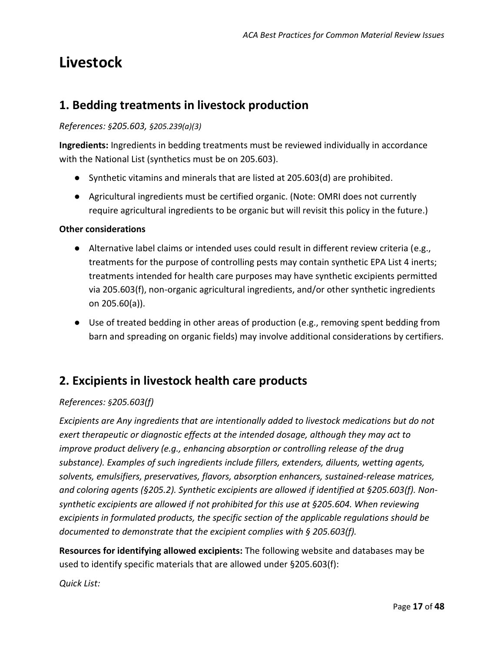# <span id="page-16-0"></span>**Livestock**

## <span id="page-16-1"></span>**1. Bedding treatments in livestock production**

#### *References: §205.603, §205.239(a)(3)*

**Ingredients:** Ingredients in bedding treatments must be reviewed individually in accordance with the National List (synthetics must be on 205.603).

- Synthetic vitamins and minerals that are listed at 205.603(d) are prohibited.
- Agricultural ingredients must be certified organic. (Note: OMRI does not currently require agricultural ingredients to be organic but will revisit this policy in the future.)

#### **Other considerations**

- Alternative label claims or intended uses could result in different review criteria (e.g., treatments for the purpose of controlling pests may contain synthetic EPA List 4 inerts; treatments intended for health care purposes may have synthetic excipients permitted via 205.603(f), non-organic agricultural ingredients, and/or other synthetic ingredients on 205.60(a)).
- Use of treated bedding in other areas of production (e.g., removing spent bedding from barn and spreading on organic fields) may involve additional considerations by certifiers.

### <span id="page-16-2"></span>**2. Excipients in livestock health care products**

#### *References: §205.603(f)*

*Excipients are Any ingredients that are intentionally added to livestock medications but do not exert therapeutic or diagnostic effects at the intended dosage, although they may act to improve product delivery (e.g., enhancing absorption or controlling release of the drug substance). Examples of such ingredients include fillers, extenders, diluents, wetting agents, solvents, emulsifiers, preservatives, flavors, absorption enhancers, sustained-release matrices, and coloring agents (§205.2). Synthetic excipients are allowed if identified at §205.603(f). Nonsynthetic excipients are allowed if not prohibited for this use at §205.604. When reviewing excipients in formulated products, the specific section of the applicable regulations should be documented to demonstrate that the excipient complies with § 205.603(f).* 

**Resources for identifying allowed excipients:** The following website and databases may be used to identify specific materials that are allowed under §205.603(f):

*Quick List:*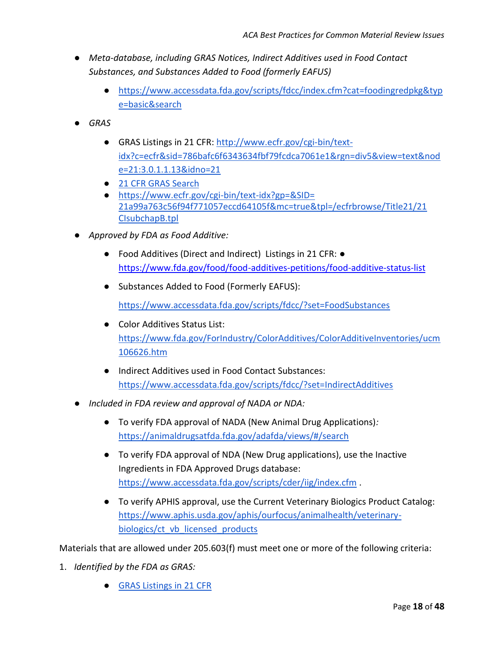- *Meta-database, including [GRAS Notices,](http://www.ecfr.gov/cgi-bin/text-idx?c=ecfr&sid=786bafc6f6343634fbf79fcdca7061e1&rgn=div5&view=text&node=21:3.0.1.1.13&idno=21) [Indirect Additives used in Food Contact](https://www.ecfr.gov/cgi-bin/ECFR?SID=4ef603918faa9b29d7bf77dbdf995159&mc=true&page=simple)  [Substances,](https://www.ecfr.gov/cgi-bin/ECFR?SID=4ef603918faa9b29d7bf77dbdf995159&mc=true&page=simple) and [Substances Added to Food \(formerly EAFUS\)](https://www.accessdata.fda.gov/scripts/fdcc/?set=FoodSubstances)*
	- [https://www.accessdata.fda.gov/scripts/fdcc/index.cfm?cat=foodingredpkg&typ](https://www.accessdata.fda.gov/scripts/fdcc/index.cfm?cat=foodingredpkg&type=basic&search) [e=basic&search](https://www.accessdata.fda.gov/scripts/fdcc/index.cfm?cat=foodingredpkg&type=basic&search)
- *GRAS*
	- GRAS Listings in 21 CFR: [http://www.ecfr.gov/cgi-bin/text](http://www.ecfr.gov/cgi-bin/text-idx?c=ecfr&sid=786bafc6f6343634fbf79fcdca7061e1&rgn=div5&view=text&node=21:3.0.1.1.13&idno=21)[idx?c=ecfr&sid=786bafc6f6343634fbf79fcdca7061e1&rgn=div5&view=text&nod](http://www.ecfr.gov/cgi-bin/text-idx?c=ecfr&sid=786bafc6f6343634fbf79fcdca7061e1&rgn=div5&view=text&node=21:3.0.1.1.13&idno=21) [e=21:3.0.1.1.13&idno=21](http://www.ecfr.gov/cgi-bin/text-idx?c=ecfr&sid=786bafc6f6343634fbf79fcdca7061e1&rgn=div5&view=text&node=21:3.0.1.1.13&idno=21)
	- 21 CFR GRAS Search
	- <https://www.ecfr.gov/cgi-bin/text-idx?gp=&SID=> [21a99a763c56f94f771057eccd64105f&mc=true&tpl=/ecfrbrowse/Title21/21](https://www.ecfr.gov/cgi-bin/text-idx?gp=&SID=) [CIsubchapB.tpl](https://www.ecfr.gov/cgi-bin/text-idx?gp=&SID=)
- *Approved by FDA as Food Additive:*
	- Food Additives (Direct and Indirect) Listings in 21 CFR: <https://www.fda.gov/food/food-additives-petitions/food-additive-status-list>
	- Substances Added to Food (Formerly EAFUS):

<https://www.accessdata.fda.gov/scripts/fdcc/?set=FoodSubstances>

- Color Additives Status List: [https://www.fda.gov/ForIndustry/ColorAdditives/ColorAdditiveInventories/ucm](https://www.fda.gov/ForIndustry/ColorAdditives/ColorAdditiveInventories/ucm106626.htm) [106626.htm](https://www.fda.gov/ForIndustry/ColorAdditives/ColorAdditiveInventories/ucm106626.htm)
- Indirect Additives used in Food Contact Substances: <https://www.accessdata.fda.gov/scripts/fdcc/?set=IndirectAdditives>
- *Included in FDA review and approval of NADA or NDA:*
	- To verify FDA approval of NADA (New Animal Drug Applications)*[:](https://animaldrugsatfda.fda.gov/adafda/views/#/search)* <https://animaldrugsatfda.fda.gov/adafda/views/#/search>
	- To verify FDA approval of NDA (New Drug applications), use the Inactive Ingredients in FDA Approved Drugs database[:](https://www.accessdata.fda.gov/scripts/cder/iig/index.cfm) <https://www.accessdata.fda.gov/scripts/cder/iig/index.cfm> .
	- To verify APHIS approval, use the Current Veterinary Biologics Product Catalog: [https://www.aphis.usda.gov/aphis/ourfocus/animalhealth/veterinary](https://www.aphis.usda.gov/aphis/ourfocus/animalhealth/veterinary-biologics/ct_vb_licensed_products)[biologics/ct\\_vb\\_licensed\\_products](https://www.aphis.usda.gov/aphis/ourfocus/animalhealth/veterinary-biologics/ct_vb_licensed_products)

Materials that are allowed under 205.603(f) must meet one or more of the following criteria:

- 1. *Identified by the FDA as GRAS[:](https://www.accessdata.fda.gov/scripts/fdcc/index.cfm?set=GRASNotices)*
	- [GRAS Listings in 21 CFR](https://www.ecfr.gov/cgi-bin/text-idx?c=ecfr&sid=786bafc6f6343634fbf79fcdca7061e1&rgn=div5&view=text&node=21:3.0.1.1.13&idno=21)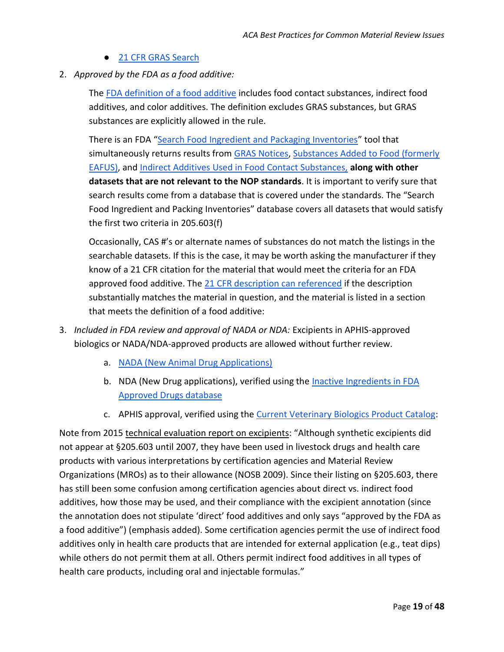- [21 CFR GRAS Search](https://www.ecfr.gov/cgi-bin/text-idx?gp=&SID=)
- 2. *Approved by the FDA as a food additive[:](https://www.fda.gov/Food/IngredientsPackagingLabeling/Definitions/default.htm)*

The [FDA definition of a food additive](https://www.fda.gov/food/ingredientspackaginglabeling/definitions/default.htm) includes food contact substances, indirect food additives, and color additives. The definition excludes GRAS substances, but GRAS substances are explicitly allowed in the rule.

There is an FDA "[Search Food Ingredient and Packaging Inventories](https://www.accessdata.fda.gov/scripts/fdcc/index.cfm?cat=foodingredpkg&type=basic&search)" tool that simultaneously returns results from [GRAS Notices,](http://www.ecfr.gov/cgi-bin/text-idx?c=ecfr&sid=786bafc6f6343634fbf79fcdca7061e1&rgn=div5&view=text&node=21:3.0.1.1.13&idno=21) Substances Added to Food (formerly [EAFUS\),](https://www.accessdata.fda.gov/scripts/fdcc/?set=FoodSubstances) and [Indirect Additives Used in Food Contact Substances,](https://www.accessdata.fda.gov/scripts/fdcc/?set=IndirectAdditives) **along with other datasets that are not relevant to the NOP standards**. It is important to verify sure that search results come from a database that is covered under the standards. The "Search Food Ingredient and Packing Inventories" database covers all datasets that would satisfy the first two criteria in 205.603(f[\)](https://www.accessdata.fda.gov/scripts/fdcc/index.cfm?cat=foodingredpkg&type=basic&search=sodium%20hydroxide)

Occasionally, CAS #'s or alternate names of substances do not match the listings in the searchable datasets. If this is the case, it may be worth asking the manufacturer if they know of a 21 CFR citation for the material that would meet the criteria for an FDA approved food additive. The [21 CFR description can referenced](https://www.ecfr.gov/cgi-bin/ECFR?SID=4ef603918faa9b29d7bf77dbdf995159&mc=true&page=simple%20(FOOD%20ADDITIVES%20(DIRECT%20AND%20INDIRECT)%20Listings%20in%2021%20CFR)) if the description substantially matches the material in question, and the material is listed in a section that meets the definition of a food additive[:](https://www.ecfr.gov/cgi-bin/ECFR?SID=4ef603918faa9b29d7bf77dbdf995159&mc=true&page=simple)

- 3. *Included in FDA review and approval of NADA or NDA:* Excipients in APHIS-approved biologics or NADA/NDA-approved products are allowed without further review.
	- a. [NADA \(New Animal Drug Applications\)](https://animaldrugsatfda.fda.gov/adafda/views/#/search)
	- b. NDA (New Drug applications), verified using the [Inactive Ingredients in FDA](https://www.accessdata.fda.gov/scripts/cder/iig/index.cfm)  [Approved Drugs database](https://www.accessdata.fda.gov/scripts/cder/iig/index.cfm)
	- c. APHIS approval, verified using the [Current Veterinary Biologics Product Catalog:](https://www.aphis.usda.gov/aphis/ourfocus/animalhealth/veterinary-biologics/ct_vb_licensed_products)

Note from 2015 [technical evaluation report on excipients](https://www.ams.usda.gov/sites/default/files/media/Excipients%20TR.pdf): "Although synthetic excipients did not appear at §205.603 until 2007, they have been used in livestock drugs and health care products with various interpretations by certification agencies and Material Review Organizations (MROs) as to their allowance (NOSB 2009). Since their listing on §205.603, there has still been some confusion among certification agencies about direct vs. indirect food additives, how those may be used, and their compliance with the excipient annotation (since the annotation does not stipulate 'direct' food additives and only says "approved by the FDA as a food additive") (emphasis added). Some certification agencies permit the use of indirect food additives only in health care products that are intended for external application (e.g., teat dips) while others do not permit them at all. Others permit indirect food additives in all types of health care products, including oral and injectable formulas."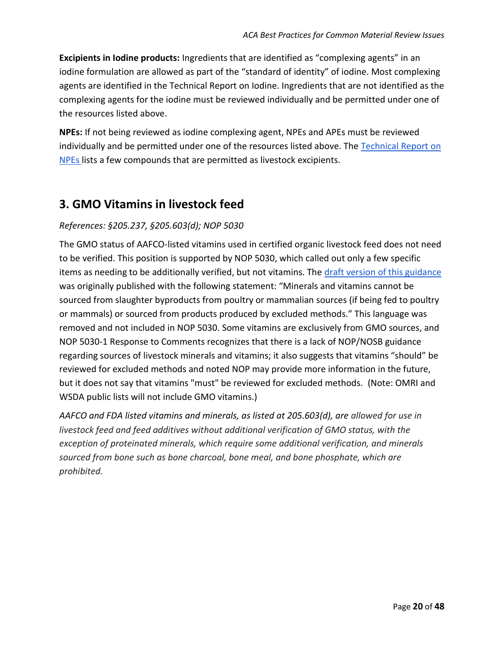**Excipients in Iodine products:** Ingredients that are identified as "complexing agents" in an iodine formulation are allowed as part of the "standard of identity" of iodine. Most complexing agents are identified in the Technical Report on Iodine. Ingredients that are not identified as the complexing agents for the iodine must be reviewed individually and be permitted under one of the resources listed above.

**NPEs:** If not being reviewed as iodine complexing agent, NPEs and APEs must be reviewed individually and be permitted under one of the resources listed above. The [Technical Report](https://www.ams.usda.gov/sites/default/files/media/NPE%20Technical%20Evaluation%20Report%20%282015%29.pdf) on [NPEs l](https://www.ams.usda.gov/sites/default/files/media/NPE%20Technical%20Evaluation%20Report%20%282015%29.pdf)ists a few compounds that are permitted as livestock excipients.

## <span id="page-19-0"></span>**3. GMO Vitamins in livestock feed**

#### *References: §205.237, §205.603(d); NOP 5030*

The GMO status of AAFCO-listed vitamins used in certified organic livestock feed does not need to be verified. This position is supported by NOP 5030, which called out only a few specific items as needing to be additionally verified, but not vitamins. The [draft version of this guidance](http://dairyprogramhearing.com/getfile5d335d33.pdf?dDocName=STELPRDC5091384) was originally published with the following statement: "Minerals and vitamins cannot be sourced from slaughter byproducts from poultry or mammalian sources (if being fed to poultry or mammals) or sourced from products produced by excluded methods." This language was removed and not included in NOP 5030. Some vitamins are exclusively from GMO sources, and NOP 5030-1 Response to Comments recognizes that there is a lack of NOP/NOSB guidance regarding sources of livestock minerals and vitamins; it also suggests that vitamins "should" be reviewed for excluded methods and noted NOP may provide more information in the future, but it does not say that vitamins "must" be reviewed for excluded methods. (Note: OMRI and WSDA public lists will not include GMO vitamins.)

*AAFCO and FDA listed vitamins and minerals, as listed at 205.603(d), are allowed for use in livestock feed and feed additives without additional verification of GMO status, with the exception of proteinated minerals, which require some additional verification, and minerals sourced from bone such as bone charcoal, bone meal, and bone phosphate, which are prohibited.*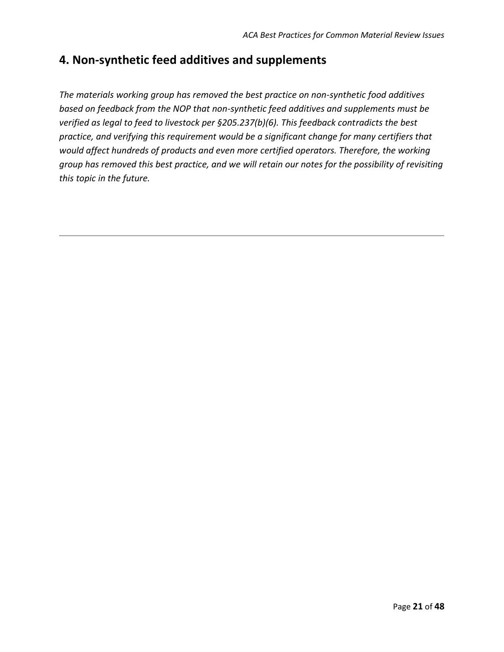## <span id="page-20-0"></span>**4. Non-synthetic feed additives and supplements**

*The materials working group has removed the best practice on non-synthetic food additives based on feedback from the NOP that non-synthetic feed additives and supplements must be verified as legal to feed to livestock per §205.237(b)(6). This feedback contradicts the best practice, and verifying this requirement would be a significant change for many certifiers that would affect hundreds of products and even more certified operators. Therefore, the working group has removed this best practice, and we will retain our notes for the possibility of revisiting this topic in the future.*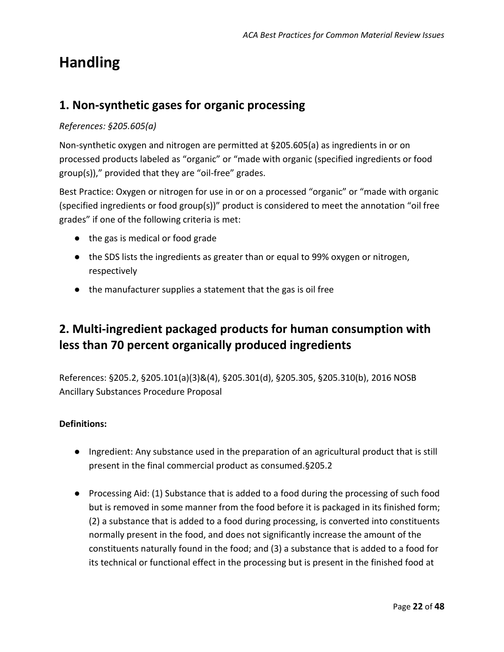# <span id="page-21-0"></span>**Handling**

## <span id="page-21-1"></span>**1. Non-synthetic gases for organic processing**

#### *References: §205.605(a)*

Non-synthetic oxygen and nitrogen are permitted at §205.605(a) as ingredients in or on processed products labeled as "organic" or "made with organic (specified ingredients or food group(s))," provided that they are "oil-free" grades.

Best Practice: Oxygen or nitrogen for use in or on a processed "organic" or "made with organic (specified ingredients or food group(s))" product is considered to meet the annotation "oil free grades" if one of the following criteria is met:

- the gas is medical or food grade
- the SDS lists the ingredients as greater than or equal to 99% oxygen or nitrogen, respectively
- the manufacturer supplies a statement that the gas is oil free

# <span id="page-21-2"></span>**2. Multi-ingredient packaged products for human consumption with less than 70 percent organically produced ingredients**

References: §205.2, §205.101(a)(3)&(4), §205.301(d), §205.305, §205.310(b), [2016 NOSB](https://www.ams.usda.gov/sites/default/files/media/HS%20Ancillary%20Substance%20Proposal%20NOP.pdf)  [Ancillary Substances Procedure Proposal](https://www.ams.usda.gov/sites/default/files/media/HS%20Ancillary%20Substance%20Proposal%20NOP.pdf)

#### **Definitions:**

- Ingredient: Any substance used in the preparation of an agricultural product that is still present in the final commercial product as consumed.§205.2
- Processing Aid: (1) Substance that is added to a food during the processing of such food but is removed in some manner from the food before it is packaged in its finished form; (2) a substance that is added to a food during processing, is converted into constituents normally present in the food, and does not significantly increase the amount of the constituents naturally found in the food; and (3) a substance that is added to a food for its technical or functional effect in the processing but is present in the finished food at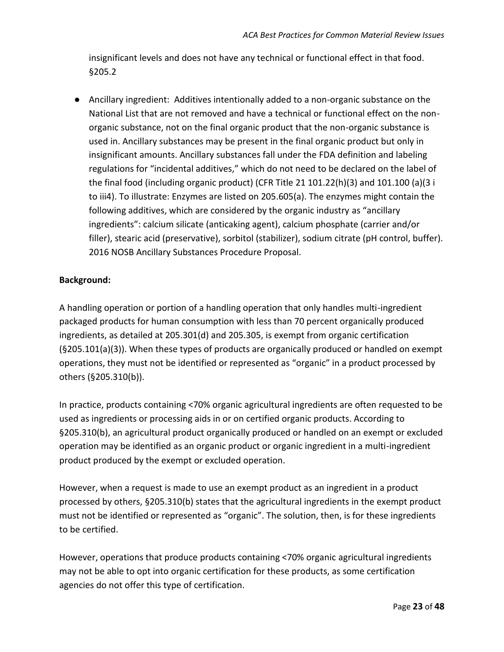insignificant levels and does not have any technical or functional effect in that food. §205.2

● Ancillary ingredient: Additives intentionally added to a non-organic substance on the National List that are not removed and have a technical or functional effect on the nonorganic substance, not on the final organic product that the non-organic substance is used in. Ancillary substances may be present in the final organic product but only in insignificant amounts. Ancillary substances fall under the FDA definition and labeling regulations for "incidental additives," which do not need to be declared on the label of the final food (including organic product) (CFR Title 21 101.22(h)(3) and 101.100 (a)(3 i to iii4). To illustrate: Enzymes are listed on 205.605(a). The enzymes might contain the following additives, which are considered by the organic industry as "ancillary ingredients": calcium silicate (anticaking agent), calcium phosphate (carrier and/or filler), stearic acid (preservative), sorbitol (stabilizer), sodium citrate (pH control, buffer). 2016 NOSB Ancillary Substances Procedure Proposal.

#### **Background:**

A handling operation or portion of a handling operation that only handles multi-ingredient packaged products for human consumption with less than 70 percent organically produced ingredients, as detailed at 205.301(d) and 205.305, is exempt from organic certification (§205.101(a)(3)). When these types of products are organically produced or handled on exempt operations, they must not be identified or represented as "organic" in a product processed by others (§205.310(b)).

In practice, products containing <70% organic agricultural ingredients are often requested to be used as ingredients or processing aids in or on certified organic products. According to §205.310(b), an agricultural product organically produced or handled on an exempt or excluded operation may be identified as an organic product or organic ingredient in a multi-ingredient product produced by the exempt or excluded operation.

However, when a request is made to use an exempt product as an ingredient in a product processed by others, §205.310(b) states that the agricultural ingredients in the exempt product must not be identified or represented as "organic". The solution, then, is for these ingredients to be certified.

However, operations that produce products containing <70% organic agricultural ingredients may not be able to opt into organic certification for these products, as some certification agencies do not offer this type of certification.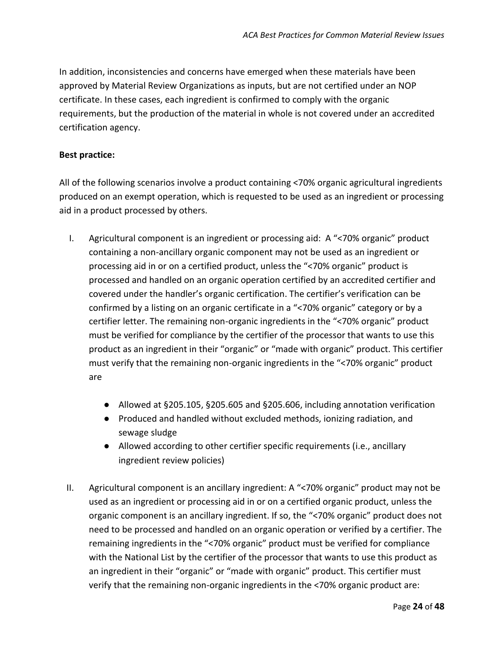In addition, inconsistencies and concerns have emerged when these materials have been approved by Material Review Organizations as inputs, but are not certified under an NOP certificate. In these cases, each ingredient is confirmed to comply with the organic requirements, but the production of the material in whole is not covered under an accredited certification agency.

#### **Best practice:**

All of the following scenarios involve a product containing <70% organic agricultural ingredients produced on an exempt operation, which is requested to be used as an ingredient or processing aid in a product processed by others.

- I. Agricultural component is an ingredient or processing aid: A "<70% organic" product containing a non-ancillary organic component may not be used as an ingredient or processing aid in or on a certified product, unless the "<70% organic" product is processed and handled on an organic operation certified by an accredited certifier and covered under the handler's organic certification. The certifier's verification can be confirmed by a listing on an organic certificate in a "<70% organic" category or by a certifier letter. The remaining non-organic ingredients in the "<70% organic" product must be verified for compliance by the certifier of the processor that wants to use this product as an ingredient in their "organic" or "made with organic" product. This certifier must verify that the remaining non-organic ingredients in the "<70% organic" product are
	- Allowed at §205.105, §205.605 and §205.606, including annotation verification
	- Produced and handled without excluded methods, ionizing radiation, and sewage sludge
	- Allowed according to other certifier specific requirements (i.e., ancillary ingredient review policies)
- II. Agricultural component is an ancillary ingredient: A "<70% organic" product may not be used as an ingredient or processing aid in or on a certified organic product, unless the organic component is an ancillary ingredient. If so, the "<70% organic" product does not need to be processed and handled on an organic operation or verified by a certifier. The remaining ingredients in the "<70% organic" product must be verified for compliance with the National List by the certifier of the processor that wants to use this product as an ingredient in their "organic" or "made with organic" product. This certifier must verify that the remaining non-organic ingredients in the <70% organic product are: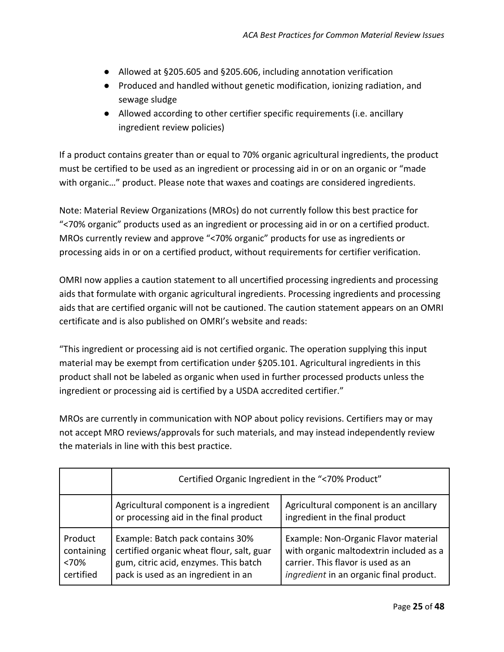- Allowed at §205.605 and §205.606, including annotation verification
- Produced and handled without genetic modification, ionizing radiation, and sewage sludge
- Allowed according to other certifier specific requirements (i.e. ancillary ingredient review policies)

If a product contains greater than or equal to 70% organic agricultural ingredients, the product must be certified to be used as an ingredient or processing aid in or on an organic or "made with organic…" product. Please note that waxes and coatings are considered ingredients.

Note: Material Review Organizations (MROs) do not currently follow this best practice for "<70% organic" products used as an ingredient or processing aid in or on a certified product. MROs currently review and approve "<70% organic" products for use as ingredients or processing aids in or on a certified product, without requirements for certifier verification.

OMRI now applies a caution statement to all uncertified processing ingredients and processing aids that formulate with organic agricultural ingredients. Processing ingredients and processing aids that are certified organic will not be cautioned. The caution statement appears on an OMRI certificate and is also published on OMRI's website and reads:

"This ingredient or processing aid is not certified organic. The operation supplying this input material may be exempt from certification under §205.101. Agricultural ingredients in this product shall not be labeled as organic when used in further processed products unless the ingredient or processing aid is certified by a USDA accredited certifier."

MROs are currently in communication with NOP about policy revisions. Certifiers may or may not accept MRO reviews/approvals for such materials, and may instead independently review the materials in line with this best practice.

|                                            | Certified Organic Ingredient in the "<70% Product"                                                                                                            |                                                                                                                                                                  |  |  |  |
|--------------------------------------------|---------------------------------------------------------------------------------------------------------------------------------------------------------------|------------------------------------------------------------------------------------------------------------------------------------------------------------------|--|--|--|
|                                            | Agricultural component is a ingredient<br>or processing aid in the final product                                                                              | Agricultural component is an ancillary<br>ingredient in the final product                                                                                        |  |  |  |
| Product<br>containing<br><70%<br>certified | Example: Batch pack contains 30%<br>certified organic wheat flour, salt, guar<br>gum, citric acid, enzymes. This batch<br>pack is used as an ingredient in an | Example: Non-Organic Flavor material<br>with organic maltodextrin included as a<br>carrier. This flavor is used as an<br>ingredient in an organic final product. |  |  |  |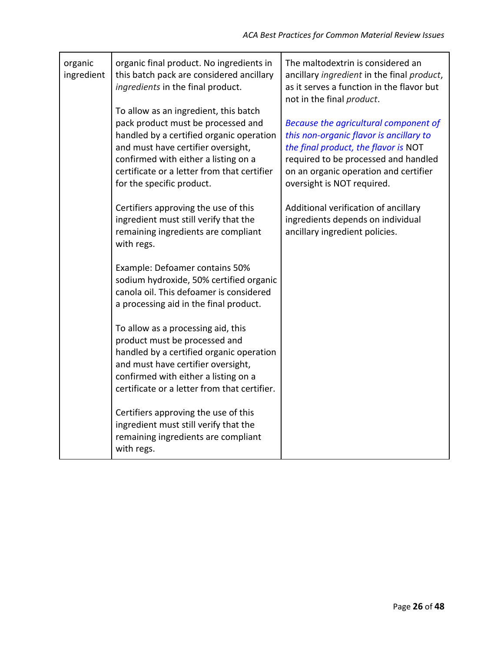| organic<br>ingredient | organic final product. No ingredients in<br>this batch pack are considered ancillary<br>ingredients in the final product.                                                                                                                                                         | The maltodextrin is considered an<br>ancillary ingredient in the final product,<br>as it serves a function in the flavor but<br>not in the final product.                                                                               |
|-----------------------|-----------------------------------------------------------------------------------------------------------------------------------------------------------------------------------------------------------------------------------------------------------------------------------|-----------------------------------------------------------------------------------------------------------------------------------------------------------------------------------------------------------------------------------------|
|                       | To allow as an ingredient, this batch<br>pack product must be processed and<br>handled by a certified organic operation<br>and must have certifier oversight,<br>confirmed with either a listing on a<br>certificate or a letter from that certifier<br>for the specific product. | Because the agricultural component of<br>this non-organic flavor is ancillary to<br>the final product, the flavor is NOT<br>required to be processed and handled<br>on an organic operation and certifier<br>oversight is NOT required. |
|                       | Certifiers approving the use of this<br>ingredient must still verify that the<br>remaining ingredients are compliant<br>with regs.                                                                                                                                                | Additional verification of ancillary<br>ingredients depends on individual<br>ancillary ingredient policies.                                                                                                                             |
|                       | Example: Defoamer contains 50%<br>sodium hydroxide, 50% certified organic<br>canola oil. This defoamer is considered<br>a processing aid in the final product.                                                                                                                    |                                                                                                                                                                                                                                         |
|                       | To allow as a processing aid, this<br>product must be processed and<br>handled by a certified organic operation<br>and must have certifier oversight,<br>confirmed with either a listing on a<br>certificate or a letter from that certifier.                                     |                                                                                                                                                                                                                                         |
|                       | Certifiers approving the use of this<br>ingredient must still verify that the<br>remaining ingredients are compliant<br>with regs.                                                                                                                                                |                                                                                                                                                                                                                                         |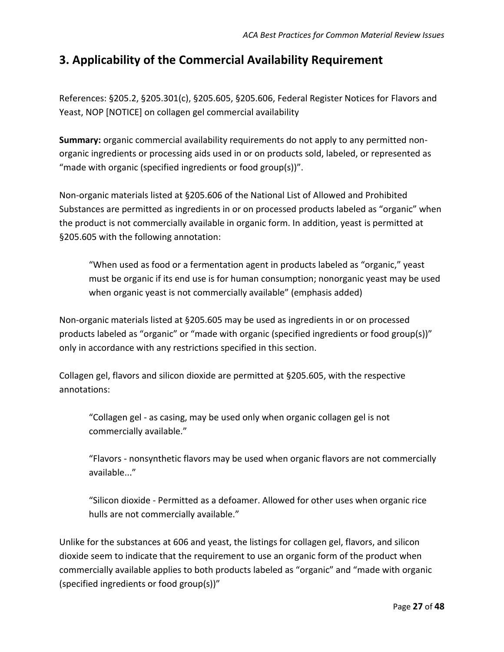## <span id="page-26-0"></span>**3. Applicability of the Commercial Availability Requirement**

References: §205.2, §205.301(c), §205.605, §205.606, Federal Register Notices for [Flavors](https://www.federalregister.gov/documents/2018/12/27/2018-27792/national-organic-program-amendments-to-the-national-list-of-allowed-and-prohibited-substances-crops) and [Yeast,](https://www.federalregister.gov/documents/2012/06/06/2012-13523/national-organic-program-nop-sunset-review-2012) NOP [NOTICE] on collagen gel commercial availability

**Summary:** organic commercial availability requirements do not apply to any permitted nonorganic ingredients or processing aids used in or on products sold, labeled, or represented as "made with organic (specified ingredients or food group(s))".

Non-organic materials listed at §205.606 of the National List of Allowed and Prohibited Substances are permitted as ingredients in or on processed products labeled as "organic" when the product is not commercially available in organic form. In addition, yeast is permitted at §205.605 with the following annotation:

"When used as food or a fermentation agent in products labeled as "organic," yeast must be organic if its end use is for human consumption; nonorganic yeast may be used when organic yeast is not commercially available" (emphasis added)

Non-organic materials listed at §205.605 may be used as ingredients in or on processed products labeled as "organic" or "made with organic (specified ingredients or food group(s))" only in accordance with any restrictions specified in this section.

Collagen gel, flavors and silicon dioxide are permitted at §205.605, with the respective annotations:

"Collagen gel - as casing, may be used only when organic collagen gel is not commercially available."

"Flavors - nonsynthetic flavors may be used when organic flavors are not commercially available..."

"Silicon dioxide - Permitted as a defoamer. Allowed for other uses when organic rice hulls are not commercially available."

Unlike for the substances at 606 and yeast, the listings for collagen gel, flavors, and silicon dioxide seem to indicate that the requirement to use an organic form of the product when commercially available applies to both products labeled as "organic" and "made with organic (specified ingredients or food group(s))"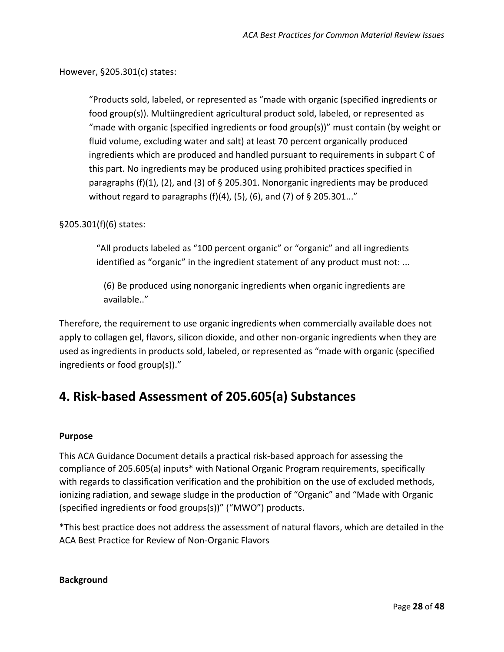However, §205.301(c) states:

"Products sold, labeled, or represented as "made with organic (specified ingredients or food group(s)). Multiingredient agricultural product sold, labeled, or represented as "made with organic (specified ingredients or food group(s))" must contain (by weight or fluid volume, excluding water and salt) at least 70 percent organically produced ingredients which are produced and handled pursuant to requirements in subpart C of this part. No ingredients may be produced using prohibited practices specified in paragraphs (f)(1), (2), and (3) of § 205.301. Nonorganic ingredients may be produced without regard to paragraphs (f)(4), (5), (6), and (7) of § 205.301..."

#### §205.301(f)(6) states:

"All products labeled as "100 percent organic" or "organic" and all ingredients identified as "organic" in the ingredient statement of any product must not: ...

(6) Be produced using nonorganic ingredients when organic ingredients are available.."

Therefore, the requirement to use organic ingredients when commercially available does not apply to collagen gel, flavors, silicon dioxide, and other non-organic ingredients when they are used as ingredients in products sold, labeled, or represented as "made with organic (specified ingredients or food group(s))."

# <span id="page-27-0"></span>**4. Risk-based Assessment of 205.605(a) Substances**

#### **Purpose**

This ACA Guidance Document details a practical risk-based approach for assessing the compliance of 205.605(a) inputs\* with National Organic Program requirements, specifically with regards to classification verification and the prohibition on the use of excluded methods, ionizing radiation, and sewage sludge in the production of "Organic" and "Made with Organic (specified ingredients or food groups(s))" ("MWO") products.

\*This best practice does not address the assessment of natural flavors, which are detailed in the [ACA Best Practice for Review of Non-Organic Flavors](https://www.accreditedcertifiers.org/wp-content/uploads/2021/05/ACA-Best-Practices-for-Review-of-Non-Organic-Natural-Flavors-05.2021.pdf)

**Background**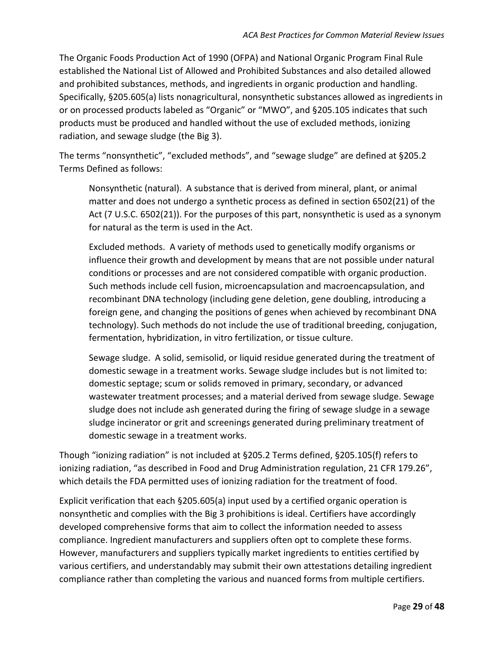The Organic Foods Production Act of 1990 (OFPA) and National Organic Program Final Rule established the National List of Allowed and Prohibited Substances and also detailed allowed and prohibited substances, methods, and ingredients in organic production and handling. Specifically, §205.605(a) lists nonagricultural, nonsynthetic substances allowed as ingredients in or on processed products labeled as "Organic" or "MWO", and §205.105 indicates that such products must be produced and handled without the use of excluded methods, ionizing radiation, and sewage sludge (the Big 3).

The terms "nonsynthetic", "excluded methods", and "sewage sludge" are defined at §205.2 Terms Defined as follows:

Nonsynthetic (natural). A substance that is derived from mineral, plant, or animal matter and does not undergo a synthetic process as defined in section 6502(21) of the Act (7 U.S.C. 6502(21)). For the purposes of this part, nonsynthetic is used as a synonym for natural as the term is used in the Act.

Excluded methods. A variety of methods used to genetically modify organisms or influence their growth and development by means that are not possible under natural conditions or processes and are not considered compatible with organic production. Such methods include cell fusion, microencapsulation and macroencapsulation, and recombinant DNA technology (including gene deletion, gene doubling, introducing a foreign gene, and changing the positions of genes when achieved by recombinant DNA technology). Such methods do not include the use of traditional breeding, conjugation, fermentation, hybridization, in vitro fertilization, or tissue culture.

Sewage sludge. A solid, semisolid, or liquid residue generated during the treatment of domestic sewage in a treatment works. Sewage sludge includes but is not limited to: domestic septage; scum or solids removed in primary, secondary, or advanced wastewater treatment processes; and a material derived from sewage sludge. Sewage sludge does not include ash generated during the firing of sewage sludge in a sewage sludge incinerator or grit and screenings generated during preliminary treatment of domestic sewage in a treatment works.

Though "ionizing radiation" is not included at §205.2 Terms defined, §205.105(f) refers to ionizing radiation, "as described in Food and Drug Administration regulation, 21 CFR 179.26", which details the FDA permitted uses of ionizing radiation for the treatment of food.

Explicit verification that each §205.605(a) input used by a certified organic operation is nonsynthetic and complies with the Big 3 prohibitions is ideal. Certifiers have accordingly developed comprehensive forms that aim to collect the information needed to assess compliance. Ingredient manufacturers and suppliers often opt to complete these forms. However, manufacturers and suppliers typically market ingredients to entities certified by various certifiers, and understandably may submit their own attestations detailing ingredient compliance rather than completing the various and nuanced forms from multiple certifiers.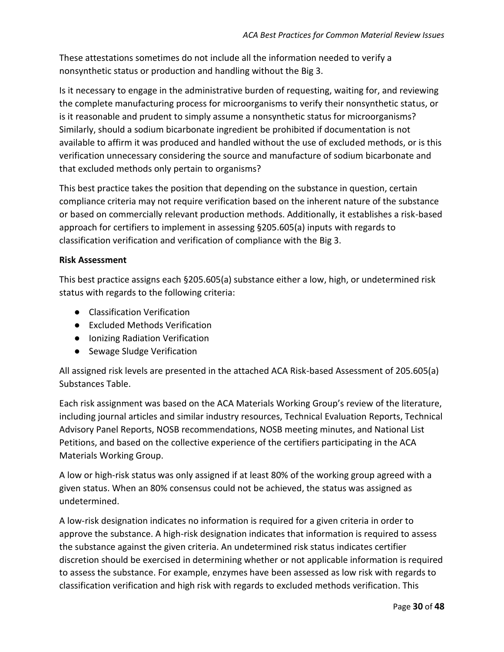These attestations sometimes do not include all the information needed to verify a nonsynthetic status or production and handling without the Big 3.

Is it necessary to engage in the administrative burden of requesting, waiting for, and reviewing the complete manufacturing process for microorganisms to verify their nonsynthetic status, or is it reasonable and prudent to simply assume a nonsynthetic status for microorganisms? Similarly, should a sodium bicarbonate ingredient be prohibited if documentation is not available to affirm it was produced and handled without the use of excluded methods, or is this verification unnecessary considering the source and manufacture of sodium bicarbonate and that excluded methods only pertain to organisms?

This best practice takes the position that depending on the substance in question, certain compliance criteria may not require verification based on the inherent nature of the substance or based on commercially relevant production methods. Additionally, it establishes a risk-based approach for certifiers to implement in assessing §205.605(a) inputs with regards to classification verification and verification of compliance with the Big 3.

#### **Risk Assessment**

This best practice assigns each §205.605(a) substance either a low, high, or undetermined risk status with regards to the following criteria:

- Classification Verification
- Excluded Methods Verification
- Ionizing Radiation Verification
- Sewage Sludge Verification

All assigned risk levels are presented in the attached ACA Risk-based Assessment of 205.605(a) Substances Table.

Each risk assignment was based on the ACA Materials Working Group's review of the literature, including journal articles and similar industry resources, Technical Evaluation Reports, Technical Advisory Panel Reports, NOSB recommendations, NOSB meeting minutes, and National List Petitions, and based on the collective experience of the certifiers participating in the ACA Materials Working Group.

A low or high-risk status was only assigned if at least 80% of the working group agreed with a given status. When an 80% consensus could not be achieved, the status was assigned as undetermined.

A low-risk designation indicates no information is required for a given criteria in order to approve the substance. A high-risk designation indicates that information is required to assess the substance against the given criteria. An undetermined risk status indicates certifier discretion should be exercised in determining whether or not applicable information is required to assess the substance. For example, enzymes have been assessed as low risk with regards to classification verification and high risk with regards to excluded methods verification. This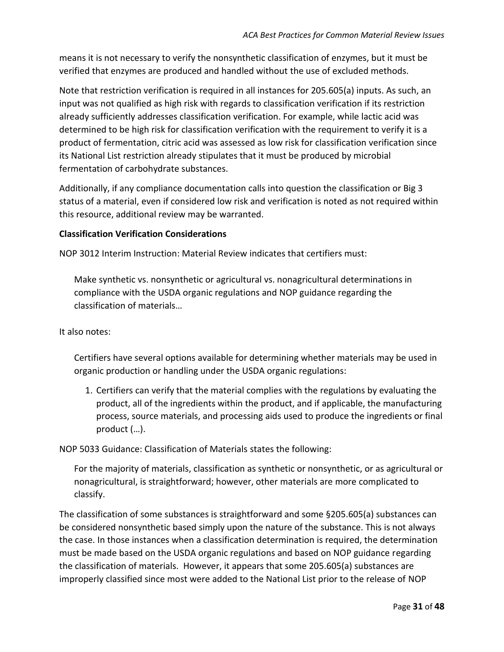means it is not necessary to verify the nonsynthetic classification of enzymes, but it must be verified that enzymes are produced and handled without the use of excluded methods.

Note that restriction verification is required in all instances for 205.605(a) inputs. As such, an input was not qualified as high risk with regards to classification verification if its restriction already sufficiently addresses classification verification. For example, while lactic acid was determined to be high risk for classification verification with the requirement to verify it is a product of fermentation, citric acid was assessed as low risk for classification verification since its National List restriction already stipulates that it must be produced by microbial fermentation of carbohydrate substances.

Additionally, if any compliance documentation calls into question the classification or Big 3 status of a material, even if considered low risk and verification is noted as not required within this resource, additional review may be warranted.

#### **Classification Verification Considerations**

[NOP 3012 Interim Instruction: Material Review](https://www.ams.usda.gov/sites/default/files/media/NOP%203012%20Material%20Review.pdf) indicates that certifiers must:

Make synthetic vs. nonsynthetic or agricultural vs. nonagricultural determinations in compliance with the USDA organic regulations and NOP guidance regarding the classification of materials…

#### It also notes:

Certifiers have several options available for determining whether materials may be used in organic production or handling under the USDA organic regulations:

1. Certifiers can verify that the material complies with the regulations by evaluating the product, all of the ingredients within the product, and if applicable, the manufacturing process, source materials, and processing aids used to produce the ingredients or final product (…).

[NOP 5033 Guidance: Classification of Materials](https://www.ams.usda.gov/sites/default/files/media/NOP-5033.pdf) states the following:

For the majority of materials, classification as synthetic or nonsynthetic, or as agricultural or nonagricultural, is straightforward; however, other materials are more complicated to classify.

The classification of some substances is straightforward and some §205.605(a) substances can be considered nonsynthetic based simply upon the nature of the substance. This is not always the case. In those instances when a classification determination is required, the determination must be made based on the USDA organic regulations and based on NOP guidance regarding the classification of materials. However, it appears that some 205.605(a) substances are improperly classified since most were added to the National List prior to the release of [NOP](https://www.ams.usda.gov/sites/default/files/media/NOP-5033.pdf)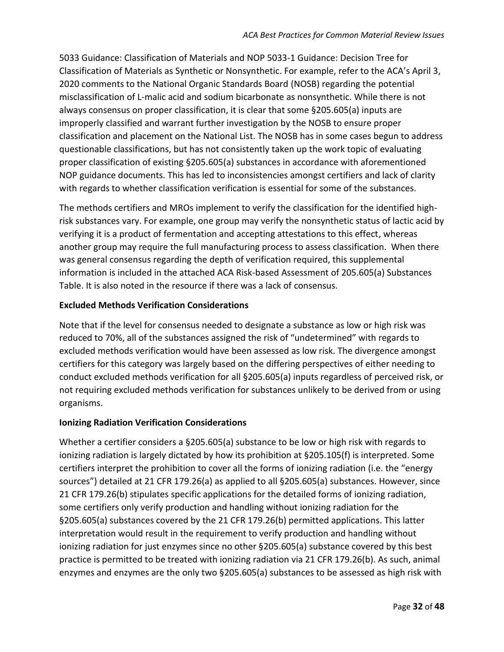[5033 Guidance: Classification of Materials](https://www.ams.usda.gov/sites/default/files/media/NOP-5033.pdf) and [NOP 5033-1 Guidance: Decision Tree for](https://www.ams.usda.gov/sites/default/files/media/NOP-Synthetic-NonSynthetic-DecisionTree.pdf)  [Classification of Materials as Synthetic or Nonsynthetic.](https://www.ams.usda.gov/sites/default/files/media/NOP-Synthetic-NonSynthetic-DecisionTree.pdf) For example, refer to the [ACA's April 3,](https://www.accreditedcertifiers.org/wp-content/uploads/2020/04/ACA-NOSB-Handling-Subcommittee-Comments-Spring-2020.pdf)  [2020 comments to the National Organic Standards Board](https://www.accreditedcertifiers.org/wp-content/uploads/2020/04/ACA-NOSB-Handling-Subcommittee-Comments-Spring-2020.pdf) (NOSB) regarding the potential misclassification of L-malic acid and sodium bicarbonate as nonsynthetic. While there is not always consensus on proper classification, it is clear that some §205.605(a) inputs are improperly classified and warrant further investigation by the NOSB to ensure proper classification and placement on the National List. The NOSB has in some cases begun to address questionable classifications, but has not consistently taken up the work topic of evaluating proper classification of existing §205.605(a) substances in accordance with aforementioned NOP guidance documents. This has led to inconsistencies amongst certifiers and lack of clarity with regards to whether classification verification is essential for some of the substances.

The methods certifiers and MROs implement to verify the classification for the identified highrisk substances vary. For example, one group may verify the nonsynthetic status of lactic acid by verifying it is a product of fermentation and accepting attestations to this effect, whereas another group may require the full manufacturing process to assess classification. When there was general consensus regarding the depth of verification required, this supplemental information is included in the attached ACA Risk-based Assessment of 205.605(a) Substances Table. It is also noted in the resource if there was a lack of consensus.

#### **Excluded Methods Verification Considerations**

Note that if the level for consensus needed to designate a substance as low or high risk was reduced to 70%, all of the substances assigned the risk of "undetermined" with regards to excluded methods verification would have been assessed as low risk. The divergence amongst certifiers for this category was largely based on the differing perspectives of either needing to conduct excluded methods verification for all §205.605(a) inputs regardless of perceived risk, or not requiring excluded methods verification for substances unlikely to be derived from or using organisms.

#### **Ionizing Radiation Verification Considerations**

Whether a certifier considers a §205.605(a) substance to be low or high risk with regards to ionizing radiation is largely dictated by how its prohibition at §205.105(f) is interpreted. Some certifiers interpret the prohibition to cover all the forms of ionizing radiation (i.e. the "energy sources") detailed at 21 CFR 179.26(a) as applied to all §205.605(a) substances. However, since 21 CFR 179.26(b) stipulates specific applications for the detailed forms of ionizing radiation, some certifiers only verify production and handling without ionizing radiation for the §205.605(a) substances covered by the 21 CFR 179.26(b) permitted applications. This latter interpretation would result in the requirement to verify production and handling without ionizing radiation for just enzymes since no other §205.605(a) substance covered by this best practice is permitted to be treated with ionizing radiation via 21 CFR 179.26(b). As such, animal enzymes and enzymes are the only two §205.605(a) substances to be assessed as high risk with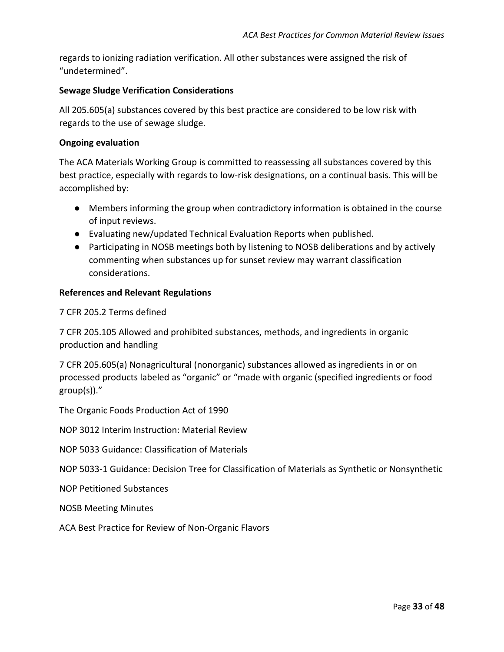regards to ionizing radiation verification. All other substances were assigned the risk of "undetermined".

#### **Sewage Sludge Verification Considerations**

All 205.605(a) substances covered by this best practice are considered to be low risk with regards to the use of sewage sludge.

#### **Ongoing evaluation**

The ACA Materials Working Group is committed to reassessing all substances covered by this best practice, especially with regards to low-risk designations, on a continual basis. This will be accomplished by:

- Members informing the group when contradictory information is obtained in the course of input reviews.
- Evaluating new/updated Technical Evaluation Reports when published.
- Participating in NOSB meetings both by listening to NOSB deliberations and by actively commenting when substances up for sunset review may warrant classification considerations.

#### **References and Relevant Regulations**

7 CFR 205.2 Terms defined

7 CFR 205.105 Allowed and prohibited substances, methods, and ingredients in organic production and handling

7 CFR 205.605(a) Nonagricultural (nonorganic) substances allowed as ingredients in or on processed products labeled as "organic" or "made with organic (specified ingredients or food group(s))."

The Organic Foods Production Act of 1990

[NOP 3012 Interim Instruction: Material Review](https://www.ams.usda.gov/sites/default/files/media/NOP%203012%20Material%20Review.pdf)

[NOP 5033 Guidance: Classification of Materials](https://www.ams.usda.gov/sites/default/files/media/NOP-5033.pdf)

[NOP 5033-1 Guidance: Decision Tree for Classification of Materials as Synthetic or Nonsynthetic](https://www.ams.usda.gov/sites/default/files/media/NOP-Synthetic-NonSynthetic-DecisionTree.pdf)

[NOP Petitioned Substances](https://www.ams.usda.gov/rules-regulations/organic/national-list/petitioned)

[NOSB Meeting Minutes](https://www.ams.usda.gov/rules-regulations/organic/nosb/meetings)

[ACA Best Practice for Review of Non-Organic Flavors](https://www.accreditedcertifiers.org/wp-content/uploads/2021/05/ACA-Best-Practices-for-Review-of-Non-Organic-Natural-Flavors-05.2021.pdf)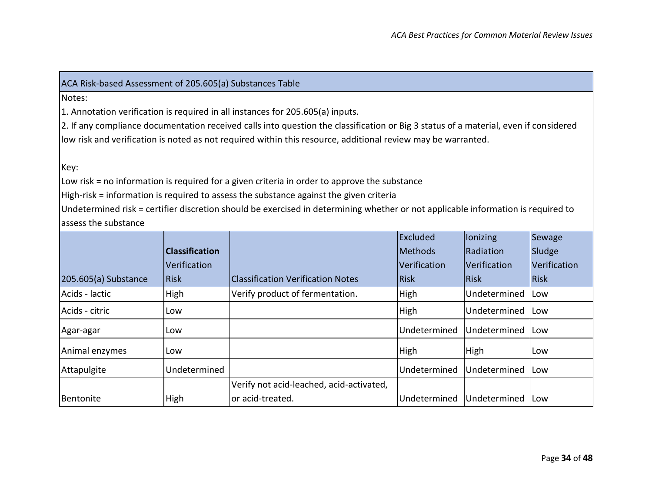#### ACA Risk-based Assessment of 205.605(a) Substances Table

Notes:

1. Annotation verification is required in all instances for 205.605(a) inputs.

2. If any compliance documentation received calls into question the classification or Big 3 status of a material, even if considered low risk and verification is noted as not required within this resource, additional review may be warranted.

Key:

Low risk = no information is required for a given criteria in order to approve the substance

High-risk = information is required to assess the substance against the given criteria

Undetermined risk = certifier discretion should be exercised in determining whether or not applicable information is required to assess the substance

| 205.605(a) Substance | <b>Classification</b><br>Verification<br>Risk | <b>Classification Verification Notes</b>                     | Excluded<br><b>IMethods</b><br><b>Verification</b><br><b>Risk</b> | lonizing<br>Radiation<br>Verification<br><b>Risk</b> | Sewage<br>Sludge<br><i><u><b>Nerification</b></u></i><br>Risk |
|----------------------|-----------------------------------------------|--------------------------------------------------------------|-------------------------------------------------------------------|------------------------------------------------------|---------------------------------------------------------------|
| Acids - lactic       | High                                          | Verify product of fermentation.                              | High                                                              | Undetermined                                         | Low                                                           |
| Acids - citric       | Low                                           |                                                              | High                                                              | Undetermined                                         | Low                                                           |
| Agar-agar            | Low                                           |                                                              | Undetermined                                                      | Undetermined                                         | ILow                                                          |
| Animal enzymes       | Low                                           |                                                              | High                                                              | High                                                 | Low                                                           |
| Attapulgite          | Undetermined                                  |                                                              | Undetermined                                                      | Undetermined                                         | <b>Low</b>                                                    |
| Bentonite            | High                                          | Verify not acid-leached, acid-activated,<br>or acid-treated. | Undetermined                                                      | Undetermined                                         | <b>ILow</b>                                                   |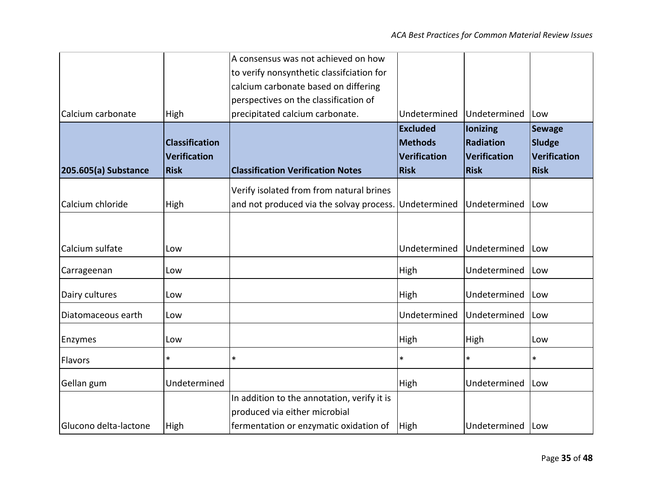|                       |                       | A consensus was not achieved on how         |                     |                 |               |
|-----------------------|-----------------------|---------------------------------------------|---------------------|-----------------|---------------|
|                       |                       | to verify nonsynthetic classifciation for   |                     |                 |               |
|                       |                       | calcium carbonate based on differing        |                     |                 |               |
|                       |                       | perspectives on the classification of       |                     |                 |               |
| Calcium carbonate     | High                  | precipitated calcium carbonate.             | Undetermined        | Undetermined    | Low           |
|                       |                       |                                             | <b>Excluded</b>     | <b>lonizing</b> | <b>Sewage</b> |
|                       | <b>Classification</b> |                                             | <b>Methods</b>      | Radiation       | Sludge        |
|                       | <b>Verification</b>   |                                             | <b>Verification</b> | Verification    | Verification  |
| 205.605(a) Substance  | <b>Risk</b>           | <b>Classification Verification Notes</b>    | <b>Risk</b>         | <b>Risk</b>     | <b>Risk</b>   |
|                       |                       | Verify isolated from from natural brines    |                     |                 |               |
| Calcium chloride      | High                  | and not produced via the solvay process.    | Undetermined        | Undetermined    | Low           |
|                       |                       |                                             |                     |                 |               |
|                       |                       |                                             |                     |                 |               |
| Calcium sulfate       | Low                   |                                             | Undetermined        | Undetermined    | Low           |
| Carrageenan           | Low                   |                                             | High                | Undetermined    | Low           |
| Dairy cultures        | Low                   |                                             | High                | Undetermined    | Low           |
| Diatomaceous earth    | Low                   |                                             | Undetermined        | Undetermined    | Low           |
| Enzymes               | Low                   |                                             | High                | High            | Low           |
|                       |                       | $\ast$                                      | $\ast$              |                 | $\ast$        |
| Flavors               | *                     |                                             |                     | *               |               |
| Gellan gum            | Undetermined          |                                             | High                | Undetermined    | <b>Low</b>    |
|                       |                       | In addition to the annotation, verify it is |                     |                 |               |
|                       |                       | produced via either microbial               |                     |                 |               |
| Glucono delta-lactone | High                  | fermentation or enzymatic oxidation of      | High                | Undetermined    | ILow          |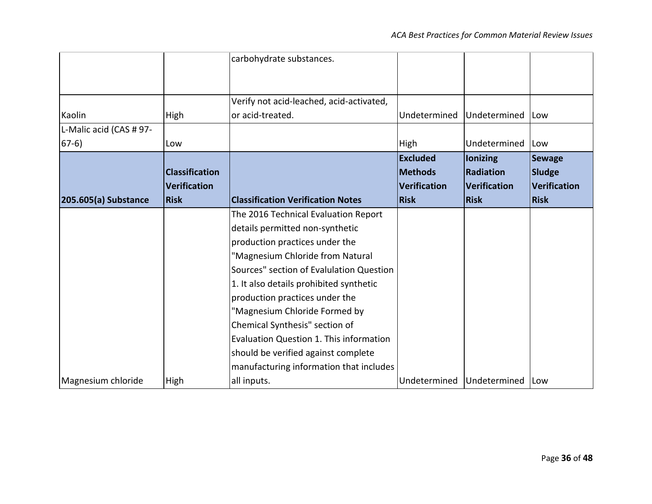|                         |                       | carbohydrate substances.                 |                 |                  |                     |
|-------------------------|-----------------------|------------------------------------------|-----------------|------------------|---------------------|
|                         |                       |                                          |                 |                  |                     |
|                         |                       |                                          |                 |                  |                     |
|                         |                       | Verify not acid-leached, acid-activated, |                 |                  |                     |
| Kaolin                  | High                  | or acid-treated.                         | Undetermined    | Undetermined     | <b>Low</b>          |
| L-Malic acid (CAS # 97- |                       |                                          |                 |                  |                     |
| $67-6)$                 | Low                   |                                          | High            | Undetermined     | Low                 |
|                         |                       |                                          | <b>Excluded</b> | lonizing         | <b>Sewage</b>       |
|                         | <b>Classification</b> |                                          | <b>Methods</b>  | <b>Radiation</b> | Sludge              |
|                         | <b>Verification</b>   |                                          | Verification    | Verification     | <b>Verification</b> |
| 205.605(a) Substance    | <b>Risk</b>           | <b>Classification Verification Notes</b> | <b>Risk</b>     | <b>Risk</b>      | Risk                |
|                         |                       | The 2016 Technical Evaluation Report     |                 |                  |                     |
|                         |                       | details permitted non-synthetic          |                 |                  |                     |
|                         |                       | production practices under the           |                 |                  |                     |
|                         |                       | "Magnesium Chloride from Natural         |                 |                  |                     |
|                         |                       | Sources" section of Evalulation Question |                 |                  |                     |
|                         |                       | 1. It also details prohibited synthetic  |                 |                  |                     |
|                         |                       | production practices under the           |                 |                  |                     |
|                         |                       | "Magnesium Chloride Formed by            |                 |                  |                     |
|                         |                       | Chemical Synthesis" section of           |                 |                  |                     |
|                         |                       | Evaluation Question 1. This information  |                 |                  |                     |
|                         |                       | should be verified against complete      |                 |                  |                     |
|                         |                       | manufacturing information that includes  |                 |                  |                     |
| Magnesium chloride      | High                  | all inputs.                              | Undetermined    | Undetermined     | <b>ILow</b>         |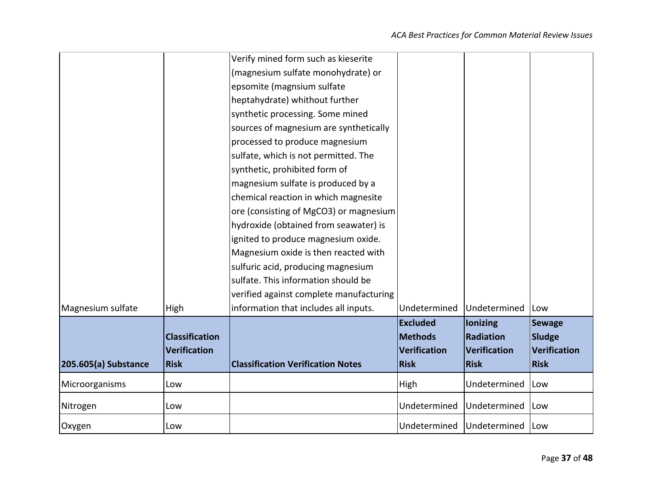|                      |                       | Verify mined form such as kieserite      |                 |              |                     |
|----------------------|-----------------------|------------------------------------------|-----------------|--------------|---------------------|
|                      |                       | (magnesium sulfate monohydrate) or       |                 |              |                     |
|                      |                       | epsomite (magnsium sulfate               |                 |              |                     |
|                      |                       | heptahydrate) whithout further           |                 |              |                     |
|                      |                       | synthetic processing. Some mined         |                 |              |                     |
|                      |                       | sources of magnesium are synthetically   |                 |              |                     |
|                      |                       | processed to produce magnesium           |                 |              |                     |
|                      |                       | sulfate, which is not permitted. The     |                 |              |                     |
|                      |                       | synthetic, prohibited form of            |                 |              |                     |
|                      |                       | magnesium sulfate is produced by a       |                 |              |                     |
|                      |                       | chemical reaction in which magnesite     |                 |              |                     |
|                      |                       | ore (consisting of MgCO3) or magnesium   |                 |              |                     |
|                      |                       | hydroxide (obtained from seawater) is    |                 |              |                     |
|                      |                       | ignited to produce magnesium oxide.      |                 |              |                     |
|                      |                       | Magnesium oxide is then reacted with     |                 |              |                     |
|                      |                       | sulfuric acid, producing magnesium       |                 |              |                     |
|                      |                       | sulfate. This information should be      |                 |              |                     |
|                      |                       | verified against complete manufacturing  |                 |              |                     |
| Magnesium sulfate    | High                  | information that includes all inputs.    | Undetermined    | Undetermined | Low                 |
|                      |                       |                                          | <b>Excluded</b> | lonizing     | <b>Sewage</b>       |
|                      | <b>Classification</b> |                                          | <b>Methods</b>  | Radiation    | <b>Sludge</b>       |
|                      | <b>Verification</b>   |                                          | Verification    | Verification | <b>Verification</b> |
| 205.605(a) Substance | <b>Risk</b>           | <b>Classification Verification Notes</b> | <b>Risk</b>     | <b>Risk</b>  | <b>Risk</b>         |
| Microorganisms       | Low                   |                                          | High            | Undetermined | Low                 |
| Nitrogen             | Low                   |                                          | Undetermined    | Undetermined | Low                 |
| Oxygen               | Low                   |                                          | Undetermined    | Undetermined | <b>Low</b>          |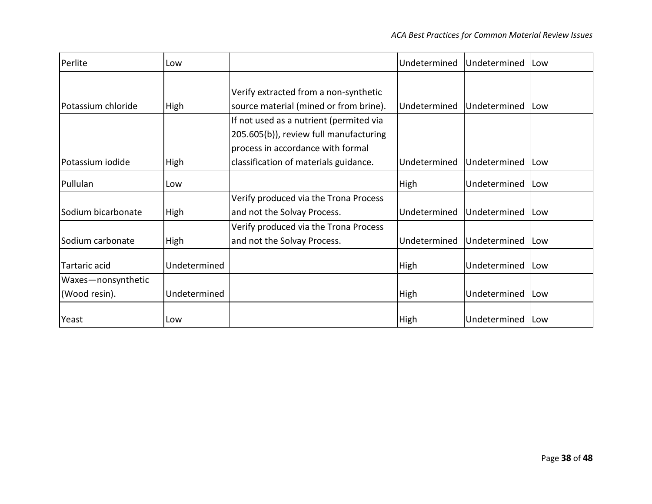| Perlite                             | Low          |                                                                                                                        | Undetermined | Undetermined | <b>Low</b>  |
|-------------------------------------|--------------|------------------------------------------------------------------------------------------------------------------------|--------------|--------------|-------------|
| Potassium chloride                  | High         | Verify extracted from a non-synthetic<br>source material (mined or from brine).                                        | Undetermined | Undetermined | <b>ILow</b> |
|                                     |              | If not used as a nutrient (permited via<br>205.605(b)), review full manufacturing<br>process in accordance with formal |              |              |             |
| Potassium iodide                    | <b>High</b>  | classification of materials guidance.                                                                                  | Undetermined | Undetermined | ILow        |
| Pullulan                            | Low          |                                                                                                                        | High         | Undetermined | ILow        |
| Sodium bicarbonate                  | High         | Verify produced via the Trona Process<br>and not the Solvay Process.                                                   | Undetermined | Undetermined | <b>ILow</b> |
| Sodium carbonate                    | High         | Verify produced via the Trona Process<br>and not the Solvay Process.                                                   | Undetermined | Undetermined | ILow        |
| Tartaric acid                       | Undetermined |                                                                                                                        | <b>High</b>  | Undetermined | ILow        |
| Waxes-nonsynthetic<br>(Wood resin). | Undetermined |                                                                                                                        | <b>High</b>  | Undetermined | ILow        |
| Yeast                               | Low          |                                                                                                                        | High         | Undetermined | <b>ILow</b> |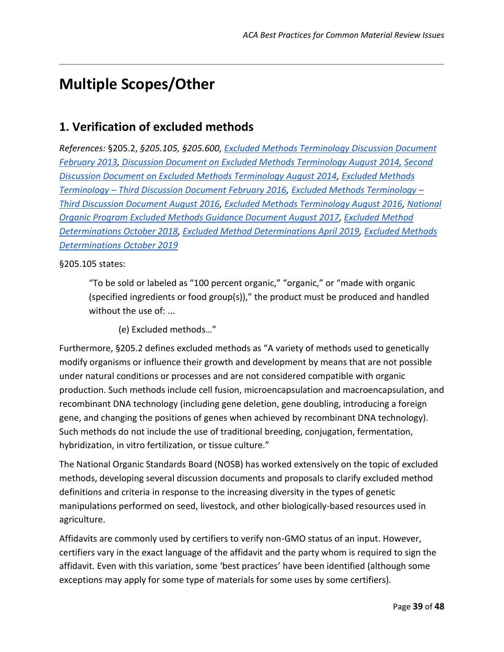# <span id="page-38-0"></span>**Multiple Scopes/Other**

## <span id="page-38-1"></span>**1. Verification of excluded methods**

*References:* §205.2, *§205.105, §205.600, [Excluded Methods Terminology Discussion Document](https://www.ams.usda.gov/sites/default/files/media/GMOSCTrmnlgyExclddMthdsApril%202013.pdf)  [February 2013](https://www.ams.usda.gov/sites/default/files/media/GMOSCTrmnlgyExclddMthdsApril%202013.pdf)[,](https://www.ams.usda.gov/sites/default/files/media/MSDDExcludedMethodsOct2014.pdf) [Discussion Document on Excluded Methods Terminology August 2014,](https://www.ams.usda.gov/sites/default/files/media/MSDDExcludedMethodsTrmnlgyApr2015.pdf) [Second](https://www.ams.usda.gov/sites/default/files/media/MSDDExcludedMethodsOct2014.pdf)  [Discussion Document on Excluded Methods Terminology August 2014,](https://www.ams.usda.gov/sites/default/files/media/MSDDExcludedMethodsOct2014.pdf) [Excluded Methods](https://www.ams.usda.gov/sites/default/files/media/MSDDExcludedMethodsApr2016.pdf)  Terminology – [Third Discussion Document February 2016,](https://www.ams.usda.gov/sites/default/files/media/MSDDExcludedMethodsApr2016.pdf) [Excluded Methods Terminology](https://www.ams.usda.gov/sites/default/files/media/MSExcludedMethodsDiscussionDocumentNov2016.pdf) – [Third Discussion Document August 2016,](https://www.ams.usda.gov/sites/default/files/media/MSExcludedMethodsDiscussionDocumentNov2016.pdf) [Excluded Methods Terminology August 2016,](https://www.ams.usda.gov/sites/default/files/media/MSExcldMethTerminologyProposalNov2016.pdf) [National](https://www.ams.usda.gov/sites/default/files/media/MSExcludedMethodsNOPFall2017.pdf)  [Organic Program Excluded Methods Guidance Document August 2017,](https://www.ams.usda.gov/sites/default/files/media/MSExcludedMethodsNOPFall2017.pdf) [Excluded Method](https://www.ams.usda.gov/sites/default/files/media/MSExcludedMethodsOct2018Web.pdf)  [Determinations October 2018,](https://www.ams.usda.gov/sites/default/files/media/MSExcludedMethodsOct2018Web.pdf) [Excluded Method Determinations April 2019,](https://www.ams.usda.gov/sites/default/files/media/MSExcludedMethodsApril2019ProposalWebApril2019.pdf) [Excluded Methods](https://www.ams.usda.gov/sites/default/files/media/MSExcludedMethodsProposaFall2019.pdf)  [Determinations October 2019](https://www.ams.usda.gov/sites/default/files/media/MSExcludedMethodsProposaFall2019.pdf)*

#### §205.105 states:

"To be sold or labeled as "100 percent organic," "organic," or "made with organic (specified ingredients or food group(s))," the product must be produced and handled without the use of: ...

(e) Excluded methods…"

Furthermore, §205.2 defines excluded methods as "A variety of methods used to genetically modify organisms or influence their growth and development by means that are not possible under natural conditions or processes and are not considered compatible with organic production. Such methods include cell fusion, microencapsulation and macroencapsulation, and recombinant DNA technology (including gene deletion, gene doubling, introducing a foreign gene, and changing the positions of genes when achieved by recombinant DNA technology). Such methods do not include the use of traditional breeding, conjugation, fermentation, hybridization, in vitro fertilization, or tissue culture."

The National Organic Standards Board (NOSB) has worked extensively on the topic of excluded methods, developing several discussion documents and proposals to clarify excluded method definitions and criteria in response to the increasing diversity in the types of genetic manipulations performed on seed, livestock, and other biologically-based resources used in agriculture.

Affidavits are commonly used by certifiers to verify non-GMO status of an input. However, certifiers vary in the exact language of the affidavit and the party whom is required to sign the affidavit. Even with this variation, some 'best practices' have been identified (although some exceptions may apply for some type of materials for some uses by some certifiers).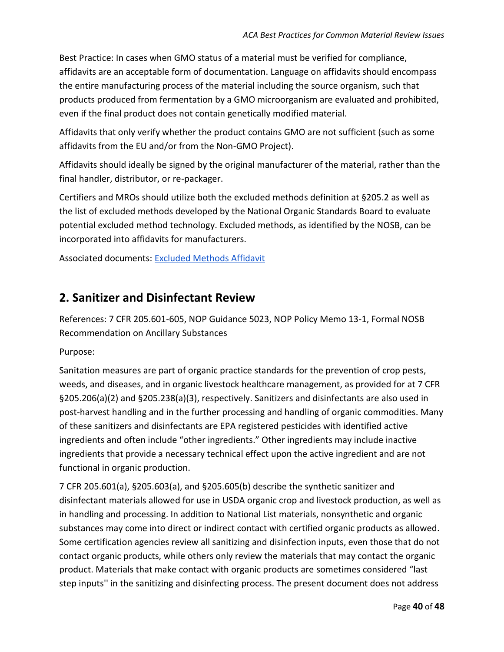Best Practice: In cases when GMO status of a material must be verified for compliance, affidavits are an acceptable form of documentation. Language on affidavits should encompass the entire manufacturing process of the material including the source organism, such that products produced from fermentation by a GMO microorganism are evaluated and prohibited, even if the final product does not contain genetically modified material.

Affidavits that only verify whether the product contains GMO are not sufficient (such as some affidavits from the EU and/or from the Non-GMO Project).

Affidavits should ideally be signed by the original manufacturer of the material, rather than the final handler, distributor, or re-packager.

Certifiers and MROs should utilize both the excluded methods definition at §205.2 as well as the list of excluded methods developed by the National Organic Standards Board to evaluate potential excluded method technology. Excluded methods, as identified by the NOSB, can be incorporated into affidavits for manufacturers.

Associated documents: [Excluded Methods Affidavit](#page-44-1)

## <span id="page-39-0"></span>**2. Sanitizer and Disinfectant Review**

References: 7 CFR 205.601-605, NOP Guidance 5023, NOP Policy Memo 13-1, [Formal NOSB](https://www.ams.usda.gov/sites/default/files/media/NOP%20Handling%20Final%20Rec%20Ancillary%20Substances.pdf)  [Recommendation on Ancillary Substances](https://www.ams.usda.gov/sites/default/files/media/NOP%20Handling%20Final%20Rec%20Ancillary%20Substances.pdf)

Purpose:

Sanitation measures are part of organic practice standards for the prevention of crop pests, weeds, and diseases, and in organic livestock healthcare management, as provided for at 7 CFR §205.206(a)(2) and §205.238(a)(3), respectively. Sanitizers and disinfectants are also used in post-harvest handling and in the further processing and handling of organic commodities. Many of these sanitizers and disinfectants are EPA registered pesticides with identified active ingredients and often include "other ingredients." Other ingredients may include inactive ingredients that provide a necessary technical effect upon the active ingredient and are not functional in organic production.

7 CFR 205.601(a), §205.603(a), and §205.605(b) describe the synthetic sanitizer and disinfectant materials allowed for use in USDA organic crop and livestock production, as well as in handling and processing. In addition to National List materials, nonsynthetic and organic substances may come into direct or indirect contact with certified organic products as allowed. Some certification agencies review all sanitizing and disinfection inputs, even those that do not contact organic products, while others only review the materials that may contact the organic product. Materials that make contact with organic products are sometimes considered "last step inputs'' in the sanitizing and disinfecting process. The present document does not address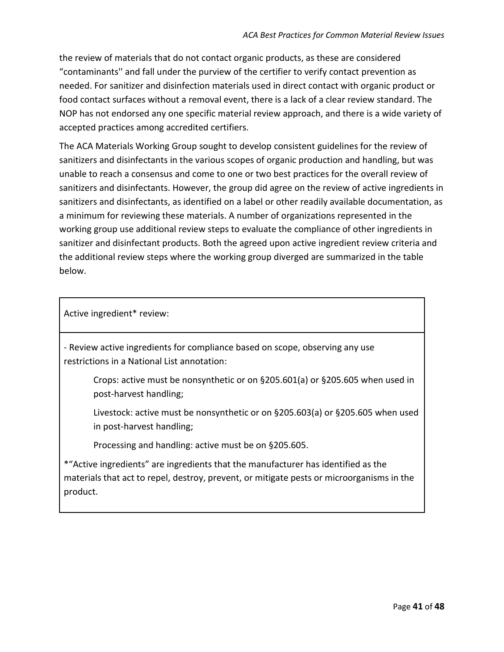the review of materials that do not contact organic products, as these are considered "contaminants'' and fall under the purview of the certifier to verify contact prevention as needed. For sanitizer and disinfection materials used in direct contact with organic product or food contact surfaces without a removal event, there is a lack of a clear review standard. The NOP has not endorsed any one specific material review approach, and there is a wide variety of accepted practices among accredited certifiers.

The ACA Materials Working Group sought to develop consistent guidelines for the review of sanitizers and disinfectants in the various scopes of organic production and handling, but was unable to reach a consensus and come to one or two best practices for the overall review of sanitizers and disinfectants. However, the group did agree on the review of active ingredients in sanitizers and disinfectants, as identified on a label or other readily available documentation, as a minimum for reviewing these materials. A number of organizations represented in the working group use additional review steps to evaluate the compliance of other ingredients in sanitizer and disinfectant products. Both the agreed upon active ingredient review criteria and the additional review steps where the working group diverged are summarized in the table below.

Active ingredient\* review:

- Review active ingredients for compliance based on scope, observing any use restrictions in a National List annotation:

Crops: active must be nonsynthetic or on §205.601(a) or §205.605 when used in post-harvest handling;

Livestock: active must be nonsynthetic or on §205.603(a) or §205.605 when used in post-harvest handling;

Processing and handling: active must be on §205.605.

\*"Active ingredients" are ingredients that the manufacturer has identified as the materials that act to repel, destroy, prevent, or mitigate pests or microorganisms in the product.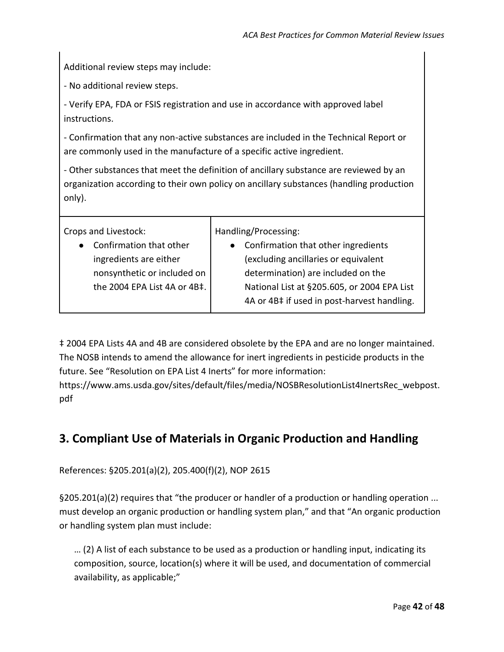Additional review steps may include:

- No additional review steps.

- Verify EPA, FDA or FSIS registration and use in accordance with approved label instructions.

- Confirmation that any non-active substances are included in the Technical Report or are commonly used in the manufacture of a specific active ingredient.

- Other substances that meet the definition of ancillary substance are reviewed by an organization according to their own policy on ancillary substances (handling production only).

Crops and Livestock:

● Confirmation that other ingredients are either nonsynthetic or included on the 2004 EPA List 4A or 4B‡. Handling/Processing:

● Confirmation that other ingredients (excluding ancillaries or equivalent determination) are included on the National List at §205.605, or 2004 EPA List 4A or 4B‡ if used in post-harvest handling.

‡ 2004 EPA Lists 4A and 4B are considered obsolete by the EPA and are no longer maintained. The NOSB intends to amend the allowance for inert ingredients in pesticide products in the future. See "Resolution on EPA List 4 Inerts" for more information[:](https://www.ams.usda.gov/sites/default/files/media/NOSBResolutionList4InertsRec_webpost.pdf)

[https://www.ams.usda.gov/sites/default/files/media/NOSBResolutionList4InertsRec\\_webpost.](https://www.ams.usda.gov/sites/default/files/media/NOSBResolutionList4InertsRec_webpost.pdf) [pdf](https://www.ams.usda.gov/sites/default/files/media/NOSBResolutionList4InertsRec_webpost.pdf)

# <span id="page-41-0"></span>**3. Compliant Use of Materials in Organic Production and Handling**

References: §205.201(a)(2), 205.400(f)(2), NOP [2615](https://www.ams.usda.gov/sites/default/files/media/2615.pdf)

§205.201(a)(2) requires that "the producer or handler of a production or handling operation ... must develop an organic production or handling system plan," and that "An organic production or handling system plan must include:

… (2) A list of each substance to be used as a production or handling input, indicating its composition, source, location(s) where it will be used, and documentation of commercial availability, as applicable;"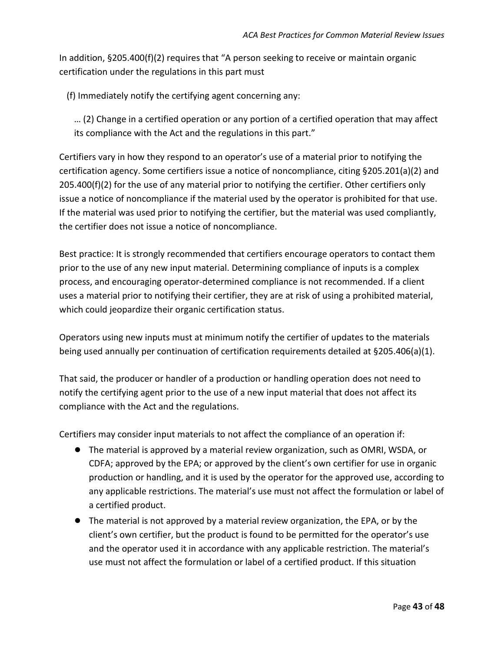In addition, §205.400(f)(2) requires that "A person seeking to receive or maintain organic certification under the regulations in this part must

(f) Immediately notify the certifying agent concerning any:

… (2) Change in a certified operation or any portion of a certified operation that may affect its compliance with the Act and the regulations in this part."

Certifiers vary in how they respond to an operator's use of a material prior to notifying the certification agency. Some certifiers issue a notice of noncompliance, citing §205.201(a)(2) and 205.400(f)(2) for the use of any material prior to notifying the certifier. Other certifiers only issue a notice of noncompliance if the material used by the operator is prohibited for that use. If the material was used prior to notifying the certifier, but the material was used compliantly, the certifier does not issue a notice of noncompliance.

Best practice: It is strongly recommended that certifiers encourage operators to contact them prior to the use of any new input material. Determining compliance of inputs is a complex process, and encouraging operator-determined compliance is not recommended. If a client uses a material prior to notifying their certifier, they are at risk of using a prohibited material, which could jeopardize their organic certification status.

Operators using new inputs must at minimum notify the certifier of updates to the materials being used annually per continuation of certification requirements detailed at §205.406(a)(1).

That said, the producer or handler of a production or handling operation does not need to notify the certifying agent prior to the use of a new input material that does not affect its compliance with the Act and the regulations.

Certifiers may consider input materials to not affect the compliance of an operation if:

- The material is approved by a material review organization, such as OMRI, WSDA, or CDFA; approved by the EPA; or approved by the client's own certifier for use in organic production or handling, and it is used by the operator for the approved use, according to any applicable restrictions. The material's use must not affect the formulation or label of a certified product.
- The material is not approved by a material review organization, the EPA, or by the client's own certifier, but the product is found to be permitted for the operator's use and the operator used it in accordance with any applicable restriction. The material's use must not affect the formulation or label of a certified product. If this situation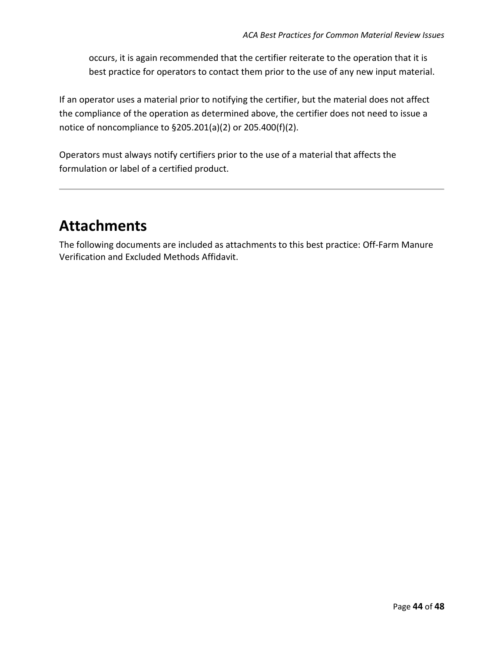occurs, it is again recommended that the certifier reiterate to the operation that it is best practice for operators to contact them prior to the use of any new input material.

If an operator uses a material prior to notifying the certifier, but the material does not affect the compliance of the operation as determined above, the certifier does not need to issue a notice of noncompliance to §205.201(a)(2) or 205.400(f)(2).

Operators must always notify certifiers prior to the use of a material that affects the formulation or label of a certified product.

# <span id="page-43-0"></span>**Attachments**

The following documents are included as attachments to this best practice: Off-Farm Manure Verification and Excluded Methods Affidavit.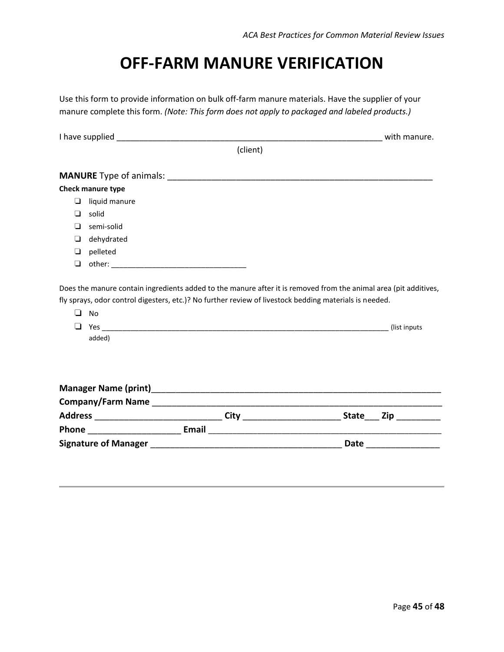# **OFF‐FARM MANURE VERIFICATION**

<span id="page-44-0"></span>Use this form to provide information on bulk off‐farm manure materials. Have the supplier of your manure complete this form. *(Note: This form does not apply to packaged and labeled products.)*

<span id="page-44-1"></span>

|        |                     | I have supplied <b>the contract of the contract of the contract of the contract of the contract of the contract of the contract of the contract of the contract of the contract of the contract of the contract of the contract </b> | with manure.  |
|--------|---------------------|--------------------------------------------------------------------------------------------------------------------------------------------------------------------------------------------------------------------------------------|---------------|
|        |                     | (client)                                                                                                                                                                                                                             |               |
|        |                     |                                                                                                                                                                                                                                      |               |
|        | Check manure type   |                                                                                                                                                                                                                                      |               |
| $\Box$ | liquid manure       |                                                                                                                                                                                                                                      |               |
| ◘      | solid               |                                                                                                                                                                                                                                      |               |
| $\Box$ | semi-solid          |                                                                                                                                                                                                                                      |               |
| □      | dehydrated          |                                                                                                                                                                                                                                      |               |
| ❏      | pelleted            |                                                                                                                                                                                                                                      |               |
| ❏      |                     |                                                                                                                                                                                                                                      |               |
| ❏      | $\Box$ No<br>added) |                                                                                                                                                                                                                                      | (list inputs) |
|        |                     |                                                                                                                                                                                                                                      |               |
|        |                     |                                                                                                                                                                                                                                      |               |
|        |                     |                                                                                                                                                                                                                                      |               |
|        |                     |                                                                                                                                                                                                                                      |               |
|        |                     |                                                                                                                                                                                                                                      |               |
|        |                     |                                                                                                                                                                                                                                      |               |
|        |                     |                                                                                                                                                                                                                                      |               |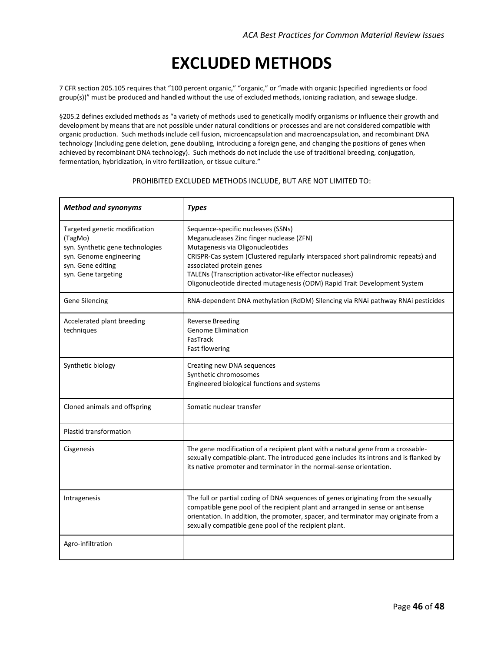# **EXCLUDED METHODS**

<span id="page-45-0"></span>7 CFR section 205.105 requires that "100 percent organic," "organic," or "made with organic (specified ingredients or food group(s))" must be produced and handled without the use of excluded methods, ionizing radiation, and sewage sludge.

§205.2 defines excluded methods as "a variety of methods used to genetically modify organisms or influence their growth and development by means that are not possible under natural conditions or processes and are not considered compatible with organic production. Such methods include cell fusion, microencapsulation and macroencapsulation, and recombinant DNA technology (including gene deletion, gene doubling, introducing a foreign gene, and changing the positions of genes when achieved by recombinant DNA technology). Such methods do not include the use of traditional breeding, conjugation, fermentation, hybridization, in vitro fertilization, or tissue culture."

| <b>Method and synonyms</b>                                                                                                                          | <b>Types</b>                                                                                                                                                                                                                                                                                                                                                                 |
|-----------------------------------------------------------------------------------------------------------------------------------------------------|------------------------------------------------------------------------------------------------------------------------------------------------------------------------------------------------------------------------------------------------------------------------------------------------------------------------------------------------------------------------------|
| Targeted genetic modification<br>(TagMo)<br>syn. Synthetic gene technologies<br>syn. Genome engineering<br>syn. Gene editing<br>syn. Gene targeting | Sequence-specific nucleases (SSNs)<br>Meganucleases Zinc finger nuclease (ZFN)<br>Mutagenesis via Oligonucleotides<br>CRISPR-Cas system (Clustered regularly interspaced short palindromic repeats) and<br>associated protein genes<br>TALENs (Transcription activator-like effector nucleases)<br>Oligonucleotide directed mutagenesis (ODM) Rapid Trait Development System |
| Gene Silencing                                                                                                                                      | RNA-dependent DNA methylation (RdDM) Silencing via RNAi pathway RNAi pesticides                                                                                                                                                                                                                                                                                              |
| Accelerated plant breeding<br>techniques                                                                                                            | <b>Reverse Breeding</b><br><b>Genome Elimination</b><br>FasTrack<br>Fast flowering                                                                                                                                                                                                                                                                                           |
| Synthetic biology                                                                                                                                   | Creating new DNA sequences<br>Synthetic chromosomes<br>Engineered biological functions and systems                                                                                                                                                                                                                                                                           |
| Cloned animals and offspring                                                                                                                        | Somatic nuclear transfer                                                                                                                                                                                                                                                                                                                                                     |
| <b>Plastid transformation</b>                                                                                                                       |                                                                                                                                                                                                                                                                                                                                                                              |
| Cisgenesis                                                                                                                                          | The gene modification of a recipient plant with a natural gene from a crossable-<br>sexually compatible-plant. The introduced gene includes its introns and is flanked by<br>its native promoter and terminator in the normal-sense orientation.                                                                                                                             |
| Intragenesis                                                                                                                                        | The full or partial coding of DNA sequences of genes originating from the sexually<br>compatible gene pool of the recipient plant and arranged in sense or antisense<br>orientation. In addition, the promoter, spacer, and terminator may originate from a<br>sexually compatible gene pool of the recipient plant.                                                         |
| Agro-infiltration                                                                                                                                   |                                                                                                                                                                                                                                                                                                                                                                              |

#### PROHIBITED EXCLUDED METHODS INCLUDE, BUT ARE NOT LIMITED TO: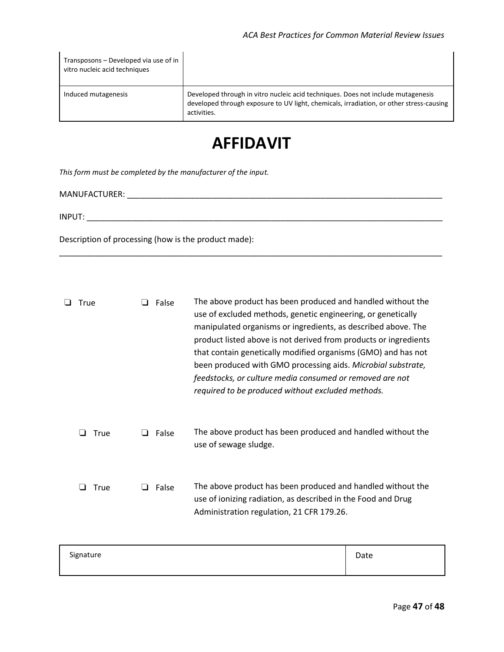\_\_\_\_\_\_\_\_\_\_\_\_\_\_\_\_\_\_\_\_\_\_\_\_\_\_\_\_\_\_\_\_\_\_\_\_\_\_\_\_\_\_\_\_\_\_\_\_\_\_\_\_\_\_\_\_\_\_\_\_\_\_\_\_\_\_\_\_\_\_\_\_\_\_\_\_\_\_\_\_\_\_\_\_\_

| Transposons – Developed via use of in<br>vitro nucleic acid techniques |                                                                                                                                                                                            |
|------------------------------------------------------------------------|--------------------------------------------------------------------------------------------------------------------------------------------------------------------------------------------|
| Induced mutagenesis                                                    | Developed through in vitro nucleic acid techniques. Does not include mutagenesis<br>developed through exposure to UV light, chemicals, irradiation, or other stress-causing<br>activities. |

# **AFFIDAVIT**

*This form must be completed by the manufacturer of the input.*

MANUFACTURER: \_\_\_\_\_\_\_\_\_\_\_\_\_\_\_\_\_\_\_\_\_\_\_\_\_\_\_\_\_\_\_\_\_\_\_\_\_\_\_\_\_\_\_\_\_\_\_\_\_\_\_\_\_\_\_\_\_\_\_\_\_\_\_\_\_\_\_\_\_\_

INPUT: \_\_\_\_\_\_\_\_\_\_\_\_\_\_\_\_\_\_\_\_\_\_\_\_\_\_\_\_\_\_\_\_\_\_\_\_\_\_\_\_\_\_\_\_\_\_\_\_\_\_\_\_\_\_\_\_\_\_\_\_\_\_\_\_\_\_\_\_\_\_\_\_\_\_\_\_\_\_\_

Description of processing (how is the product made):

| True | False | The above product has been produced and handled without the<br>use of excluded methods, genetic engineering, or genetically<br>manipulated organisms or ingredients, as described above. The<br>product listed above is not derived from products or ingredients<br>that contain genetically modified organisms (GMO) and has not<br>been produced with GMO processing aids. Microbial substrate,<br>feedstocks, or culture media consumed or removed are not<br>required to be produced without excluded methods. |
|------|-------|--------------------------------------------------------------------------------------------------------------------------------------------------------------------------------------------------------------------------------------------------------------------------------------------------------------------------------------------------------------------------------------------------------------------------------------------------------------------------------------------------------------------|
| True | False | The above product has been produced and handled without the<br>use of sewage sludge.                                                                                                                                                                                                                                                                                                                                                                                                                               |
| True | False | The above product has been produced and handled without the<br>use of ionizing radiation, as described in the Food and Drug<br>Administration regulation, 21 CFR 179.26.                                                                                                                                                                                                                                                                                                                                           |

| Signature | Date |
|-----------|------|
|           |      |